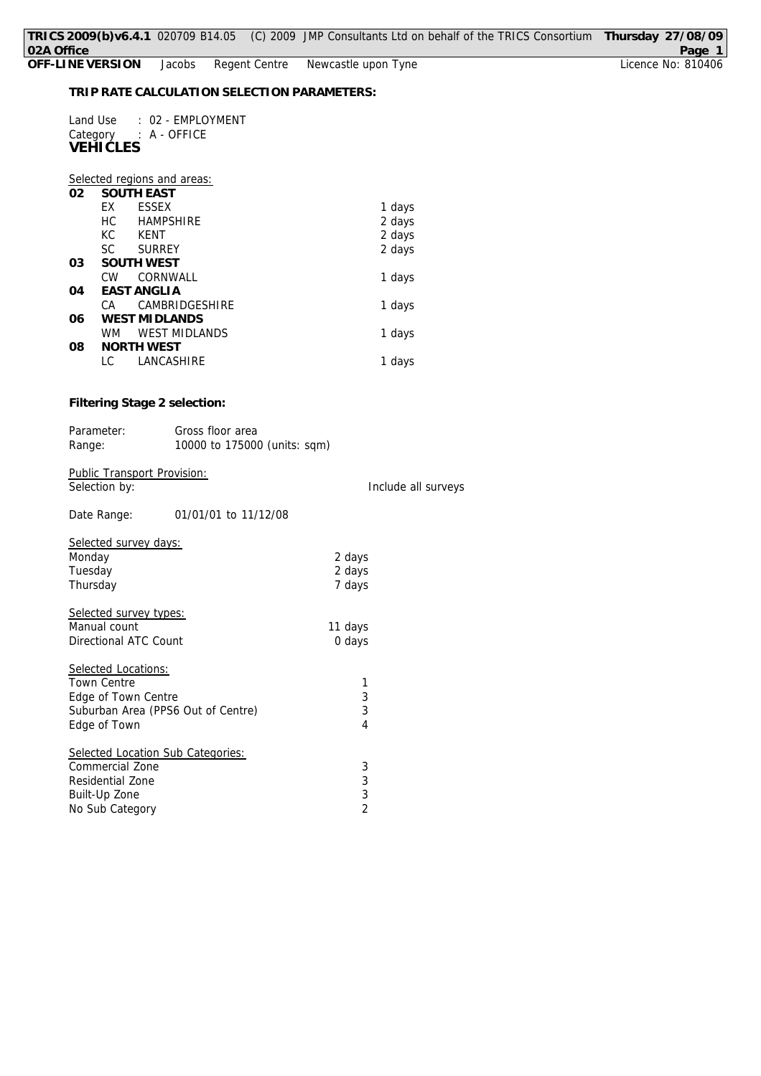|          | Land Use : 02 - EMPLOYMENT<br>Category : A - OFFICE<br><b>VEHICLES</b> |                |                     |
|----------|------------------------------------------------------------------------|----------------|---------------------|
|          | Selected regions and areas:                                            |                |                     |
| 02       | <b>SOUTH EAST</b>                                                      |                |                     |
|          | EX ESSEX                                                               |                | 1 days              |
|          | HC HAMPSHIRE                                                           |                | 2 days              |
|          | KC KENT                                                                |                | 2 days              |
|          | SC SURREY                                                              |                | 2 days              |
| 03       | <b>SOUTH WEST</b><br>CW CORNWALL                                       |                |                     |
| 04       | <b>EAST ANGLIA</b>                                                     |                | 1 days              |
|          | CA CAMBRIDGESHIRE                                                      |                | 1 days              |
| 06       | <b>WEST MIDLANDS</b>                                                   |                |                     |
|          | WM WEST MIDLANDS                                                       |                | 1 days              |
| 08       | <b>NORTH WEST</b>                                                      |                |                     |
|          | LC.<br>LANCASHIRE                                                      |                | 1 days              |
|          | Filtering Stage 2 selection:                                           |                |                     |
|          | Parameter:<br>Gross floor area                                         |                |                     |
| Range:   | 10000 to 175000 (units: sqm)                                           |                |                     |
|          | <b>Public Transport Provision:</b><br>Selection by:                    |                | Include all surveys |
|          |                                                                        |                |                     |
|          | 01/01/01 to 11/12/08<br>Date Range:                                    |                |                     |
|          | Selected survey days:                                                  |                |                     |
| Monday   |                                                                        | 2 days         |                     |
| Tuesday  |                                                                        | 2 days         |                     |
| Thursday |                                                                        | 7 days         |                     |
|          | Selected survey types:                                                 |                |                     |
|          | Manual count                                                           | 11 days        |                     |
|          | Directional ATC Count                                                  | 0 days         |                     |
|          | Selected Locations:                                                    |                |                     |
|          | <b>Town Centre</b>                                                     | 1              |                     |
|          | Edge of Town Centre                                                    | 3              |                     |
|          | Suburban Area (PPS6 Out of Centre)                                     | 3              |                     |
|          | Edge of Town                                                           | 4              |                     |
|          | Selected Location Sub Categories:                                      |                |                     |
|          | Commercial Zone                                                        | 3              |                     |
|          | Residential Zone                                                       | 3              |                     |
|          | Built-Up Zone                                                          | 3              |                     |
|          | No Sub Category                                                        | $\overline{2}$ |                     |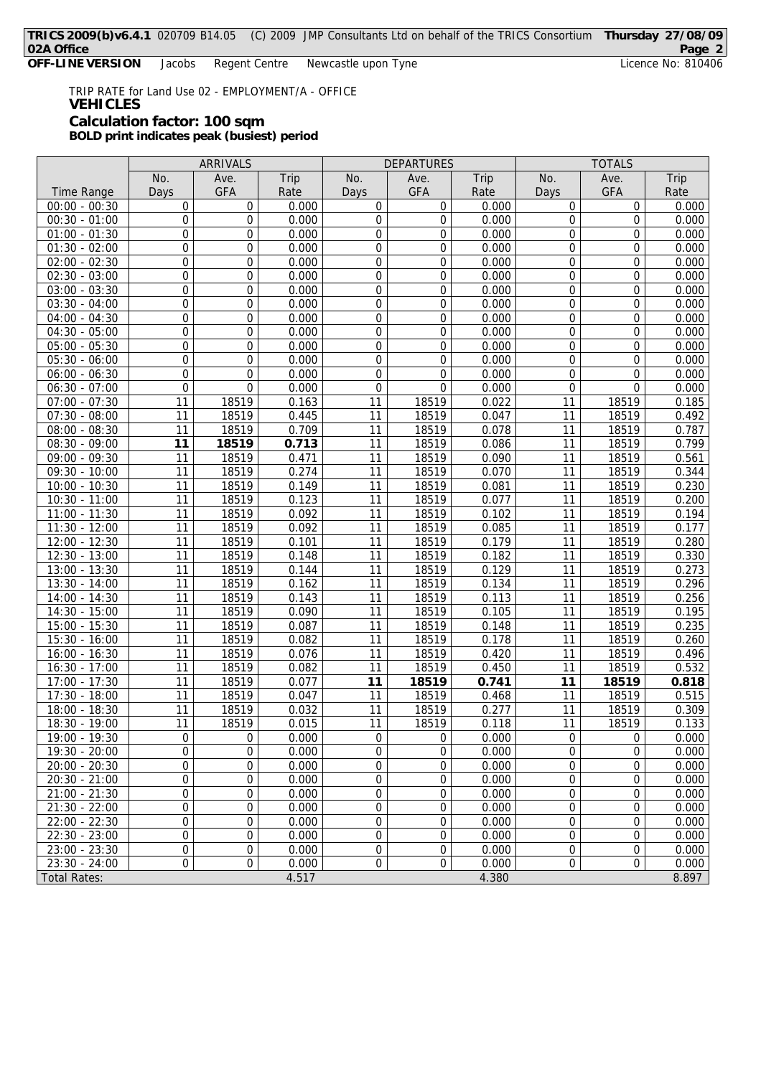**OFF-LINE VERSION** Jacobs Regent Centre Newcastle upon Tyne Licence No: 810406

TRIP RATE for Land Use 02 - EMPLOYMENT/A - OFFICE **VEHICLES Calculation factor: 100 sqm BOLD print indicates peak (busiest) period**

|                     | ARRIVALS         |                  | <b>DEPARTURES</b> |                  |                | <b>TOTALS</b> |                  |                  |       |
|---------------------|------------------|------------------|-------------------|------------------|----------------|---------------|------------------|------------------|-------|
|                     | No.              | Ave.             | Trip              | No.              | Ave.           | Trip          | No.              | Ave.             | Trip  |
| Time Range          | Days             | <b>GFA</b>       | Rate              | Days             | <b>GFA</b>     | Rate          | Days             | <b>GFA</b>       | Rate  |
| $00:00 - 00:30$     | $\mathbf 0$      | 0                | 0.000             | 0                | 0              | 0.000         | 0                | 0                | 0.000 |
| $00:30 - 01:00$     | $\mathbf 0$      | 0                | 0.000             | 0                | 0              | 0.000         | 0                | 0                | 0.000 |
| $01:00 - 01:30$     | $\boldsymbol{0}$ | 0                | 0.000             | $\boldsymbol{0}$ | 0              | 0.000         | $\overline{0}$   | $\boldsymbol{0}$ | 0.000 |
| $01:30 - 02:00$     | $\boldsymbol{0}$ | 0                | 0.000             | $\boldsymbol{0}$ | 0              | 0.000         | 0                | 0                | 0.000 |
| $02:00 - 02:30$     | $\mathbf 0$      | 0                | 0.000             | 0                | 0              | 0.000         | 0                | $\mathbf 0$      | 0.000 |
| $02:30 - 03:00$     | $\boldsymbol{0}$ | 0                | 0.000             | $\boldsymbol{0}$ | 0              | 0.000         | $\overline{0}$   | $\overline{0}$   | 0.000 |
| $03:00 - 03:30$     | $\boldsymbol{0}$ | 0                | 0.000             | 0                | 0              | 0.000         | 0                | 0                | 0.000 |
| $03:30 - 04:00$     | $\boldsymbol{0}$ | 0                | 0.000             | $\boldsymbol{0}$ | 0              | 0.000         | $\overline{0}$   | 0                | 0.000 |
| $04:00 - 04:30$     | $\boldsymbol{0}$ | 0                | 0.000             | $\boldsymbol{0}$ | 0              | 0.000         | $\mathbf 0$      | $\overline{0}$   | 0.000 |
| $04:30 - 05:00$     | $\mathbf 0$      | 0                | 0.000             | $\boldsymbol{0}$ | 0              | 0.000         | 0                | $\boldsymbol{0}$ | 0.000 |
| $05:00 - 05:30$     | $\boldsymbol{0}$ | 0                | 0.000             | $\boldsymbol{0}$ | 0              | 0.000         | $\overline{0}$   | $\boldsymbol{0}$ | 0.000 |
| $05:30 - 06:00$     | $\boldsymbol{0}$ | 0                | 0.000             | 0                | 0              | 0.000         | 0                | 0                | 0.000 |
| $06:00 - 06:30$     | $\mathbf 0$      | 0                | 0.000             | $\mathbf 0$      | 0              | 0.000         | $\overline{0}$   | $\overline{0}$   | 0.000 |
| $06:30 - 07:00$     | $\mathbf 0$      | 0                | 0.000             | 0                | 0              | 0.000         | $\overline{0}$   | $\mathbf 0$      | 0.000 |
| $07:00 - 07:30$     | 11               | 18519            | 0.163             | 11               | 18519          | 0.022         | 11               | 18519            | 0.185 |
| $07:30 - 08:00$     | 11               | 18519            | 0.445             | 11               | 18519          | 0.047         | 11               | 18519            | 0.492 |
| $08:00 - 08:30$     | 11               | 18519            | 0.709             | 11               | 18519          | 0.078         | 11               | 18519            | 0.787 |
| $08:30 - 09:00$     | 11               | 18519            | 0.713             | 11               | 18519          | 0.086         | 11               | 18519            | 0.799 |
| $09:00 - 09:30$     | 11               | 18519            | 0.471             | 11               | 18519          | 0.090         | 11               | 18519            | 0.561 |
| $09:30 - 10:00$     | 11               | 18519            | 0.274             | 11               | 18519          | 0.070         | 11               | 18519            | 0.344 |
| $10:00 - 10:30$     | 11               | 18519            | 0.149             | 11               | 18519          | 0.081         | 11               | 18519            | 0.230 |
| 10:30 - 11:00       | 11               | 18519            | 0.123             | 11               | 18519          | 0.077         | 11               | 18519            | 0.200 |
| $11:00 - 11:30$     | 11               | 18519            | 0.092             | 11               | 18519          | 0.102         | 11               | 18519            | 0.194 |
| $11:30 - 12:00$     | 11               | 18519            | 0.092             | 11               | 18519          | 0.085         | 11               | 18519            | 0.177 |
| $12:00 - 12:30$     | 11               | 18519            | 0.101             | 11               | 18519          | 0.179         | 11               | 18519            | 0.280 |
| $12:30 - 13:00$     | 11               | 18519            | 0.148             | 11               | 18519          | 0.182         | 11               | 18519            | 0.330 |
| $13:00 - 13:30$     | 11               | 18519            | 0.144             | 11               | 18519          | 0.129         | 11               | 18519            | 0.273 |
| 13:30 - 14:00       | 11               | 18519            | 0.162             | 11               | 18519          | 0.134         | 11               | 18519            | 0.296 |
| $14:00 - 14:30$     | 11               | 18519            | 0.143             | 11               | 18519          | 0.113         | 11               | 18519            | 0.256 |
| $14:30 - 15:00$     | 11               | 18519            | 0.090             | 11               | 18519          | 0.105         | 11               | 18519            | 0.195 |
| 15:00 - 15:30       | 11               | 18519            | 0.087             | 11               | 18519          | 0.148         | 11               | 18519            | 0.235 |
| 15:30 - 16:00       | 11               | 18519            | 0.082             | 11               | 18519          | 0.178         | 11               | 18519            | 0.260 |
| $16:00 - 16:30$     | 11               | 18519            | 0.076             | 11               | 18519          | 0.420         | 11               | 18519            | 0.496 |
| 16:30 - 17:00       | 11               | 18519            | 0.082             | 11               | 18519          | 0.450         | 11               | 18519            | 0.532 |
| 17:00 - 17:30       | 11               | 18519            | 0.077             | 11               | 18519          | 0.741         | 11               | 18519            | 0.818 |
| 17:30 - 18:00       | 11               | 18519            | 0.047             | 11               | 18519          | 0.468         | 11               | 18519            | 0.515 |
| 18:00 - 18:30       | 11               | 18519            | 0.032             | 11               | 18519          | 0.277         | 11               | 18519            | 0.309 |
| 18:30 - 19:00       | 11               | 18519            | 0.015             | 11               | 18519          | 0.118         | 11               | 18519            | 0.133 |
| 19:00 - 19:30       | 0                | 0                | 0.000             | $\mathbf 0$      | 0              | 0.000         | 0                | 0                | 0.000 |
| 19:30 - 20:00       | 0                | 0                | 0.000             | 0                | 0              | 0.000         | 0                | 0                | 0.000 |
| $20:00 - 20:30$     | 0                | 0                | 0.000             | 0                | 0              | 0.000         | 0                | 0                | 0.000 |
| $20:30 - 21:00$     | $\mathbf 0$      | 0                | 0.000             | 0                | 0              | 0.000         | 0                | $\overline{0}$   | 0.000 |
| $21:00 - 21:30$     | $\boldsymbol{0}$ | 0                | 0.000             | $\boldsymbol{0}$ | 0              | 0.000         | $\boldsymbol{0}$ | $\boldsymbol{0}$ | 0.000 |
| $21:30 - 22:00$     | 0                | 0                | 0.000             | 0                | 0              | 0.000         | 0                | 0                | 0.000 |
| $22:00 - 22:30$     | $\mathbf 0$      | 0                | 0.000             | 0                | 0              | 0.000         | 0                | 0                | 0.000 |
| $22:30 - 23:00$     | $\boldsymbol{0}$ | 0                | 0.000             | $\boldsymbol{0}$ | $\overline{0}$ | 0.000         | $\overline{0}$   | $\overline{0}$   | 0.000 |
| $23:00 - 23:30$     | $\boldsymbol{0}$ | 0                | 0.000             | $\boldsymbol{0}$ | 0              | 0.000         | 0                | 0                | 0.000 |
| $23:30 - 24:00$     | $\boldsymbol{0}$ | $\boldsymbol{0}$ | 0.000             | $\boldsymbol{0}$ | $\overline{0}$ | 0.000         | $\mathbf 0$      | 0                | 0.000 |
| <b>Total Rates:</b> |                  |                  | 4.517             |                  |                | 4.380         |                  |                  | 8.897 |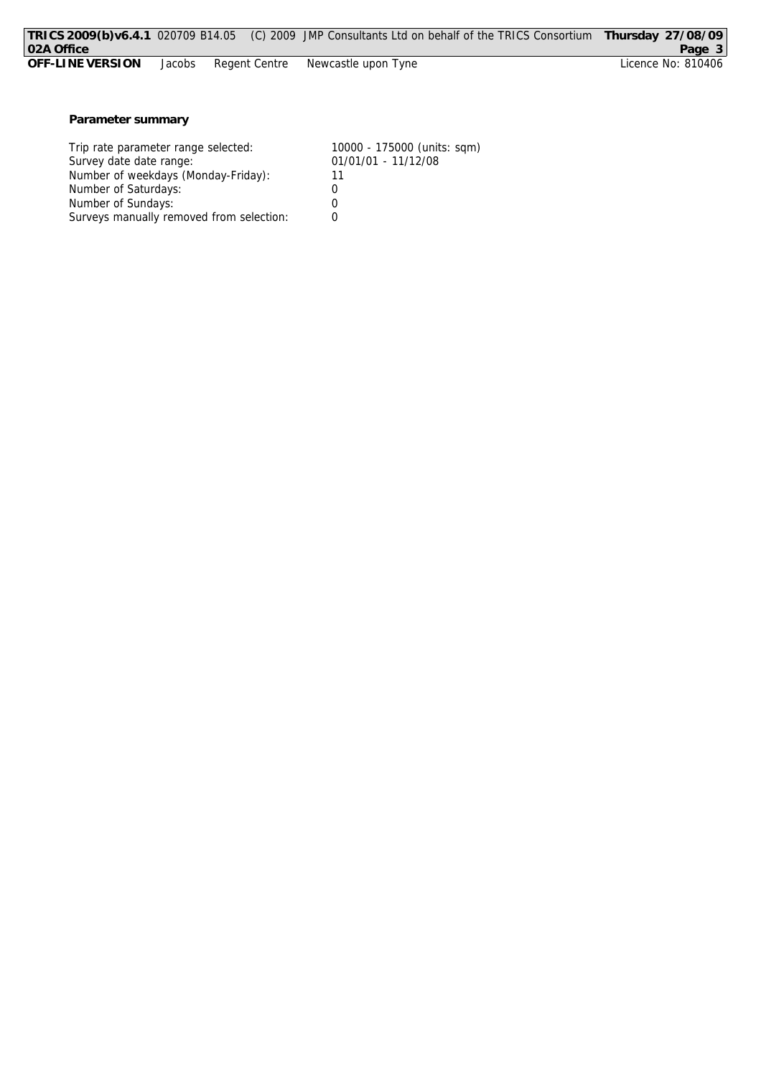|                  |        |  | TRICS 2009(b)v6.4.1 020709 B14.05 (C) 2009 JMP Consultants Ltd on behalf of the TRICS Consortium Thursday 27/08/09 |                    |
|------------------|--------|--|--------------------------------------------------------------------------------------------------------------------|--------------------|
| 02A Office       |        |  |                                                                                                                    | Page 3             |
| OFF-LINE VERSION | Jacobs |  | Regent Centre Dewcastle upon Tyne                                                                                  | Licence No: 810406 |
|                  |        |  |                                                                                                                    |                    |

**Parameter summary**

| Trip rate parameter range selected:      | 10000 - 175000 (units: sqm) |
|------------------------------------------|-----------------------------|
| Survey date date range:                  | 01/01/01 - 11/12/08         |
| Number of weekdays (Monday-Friday):      |                             |
| Number of Saturdays:                     |                             |
| Number of Sundays:                       |                             |
| Surveys manually removed from selection: |                             |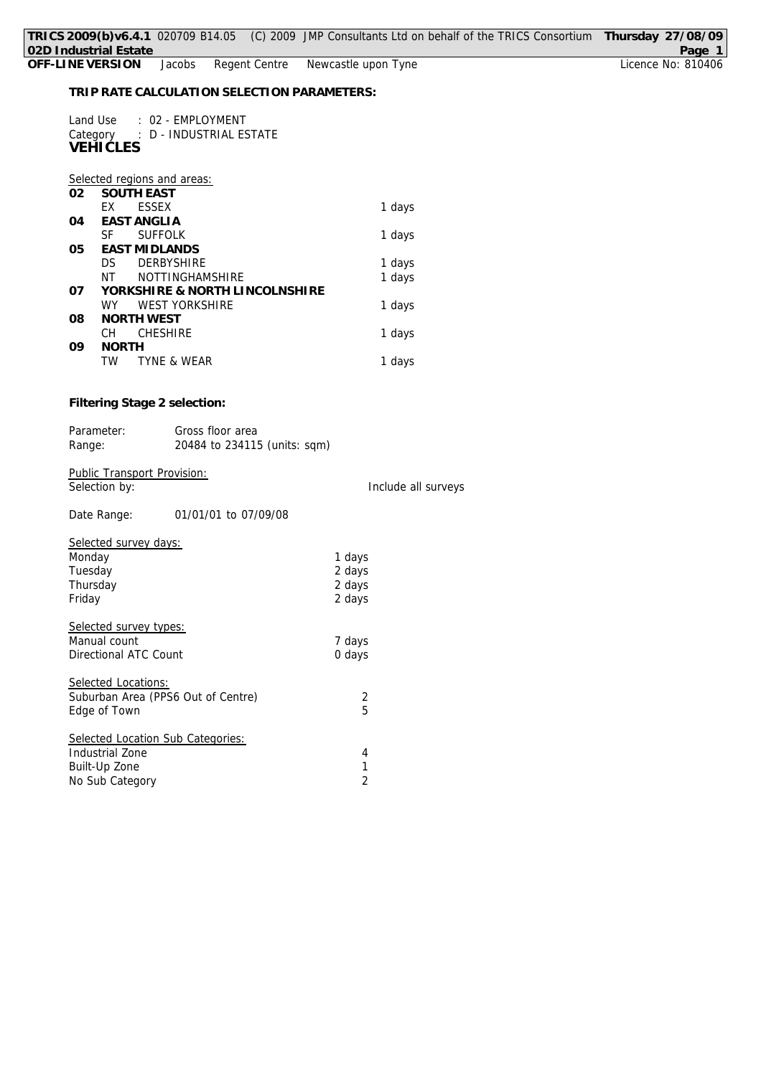Land Use : 02 - EMPLOYMENT Category : D - INDUSTRIAL ESTATE **VEHICLES**

|    | Selected regions and areas:    |        |
|----|--------------------------------|--------|
| 02 | <b>SOUTH EAST</b>              |        |
|    | <b>ESSEX</b><br>FX             | 1 days |
| 04 | EAST ANGLIA                    |        |
|    | <b>SUFFOLK</b><br>SF           | 1 days |
| 05 | <b>EAST MIDLANDS</b>           |        |
|    | <b>DERBYSHIRE</b><br>DS.       | 1 days |
|    | <b>NOTTINGHAMSHIRF</b><br>NΤ   | 1 days |
| 07 | YORKSHIRE & NORTH LINCOLNSHIRE |        |
|    | <b>WEST YORKSHIRE</b><br>WY.   | 1 days |
| 08 | NORTH WEST                     |        |
|    | <b>CHESHIRE</b><br>CH.         | 1 days |
| 09 | <b>NORTH</b>                   |        |
|    | <b>TYNE &amp; WEAR</b><br>TW   | 1 days |

**Filtering Stage 2 selection:**

| Parameter:                  | Gross floor area             |                     |
|-----------------------------|------------------------------|---------------------|
| Range:                      | 20484 to 234115 (units: sqm) |                     |
|                             |                              |                     |
| Public Transport Provision: |                              |                     |
| Selection by:               |                              | Include all surveys |

Date Range: 01/01/01 to 07/09/08

| Selected survey days:              |        |
|------------------------------------|--------|
| Monday                             | 1 days |
| Tuesday                            | 2 days |
| Thursday                           | 2 days |
| Friday                             | 2 days |
| Selected survey types:             |        |
| Manual count                       | 7 days |
| Directional ATC Count              | 0 days |
| Selected Locations:                |        |
| Suburban Area (PPS6 Out of Centre) | 2      |
| Edge of Town                       | 5      |
| Selected Location Sub Categories:  |        |
| Industrial Zone                    | 4      |
| Built-Up Zone                      | 1      |
| No Sub Category                    | 2      |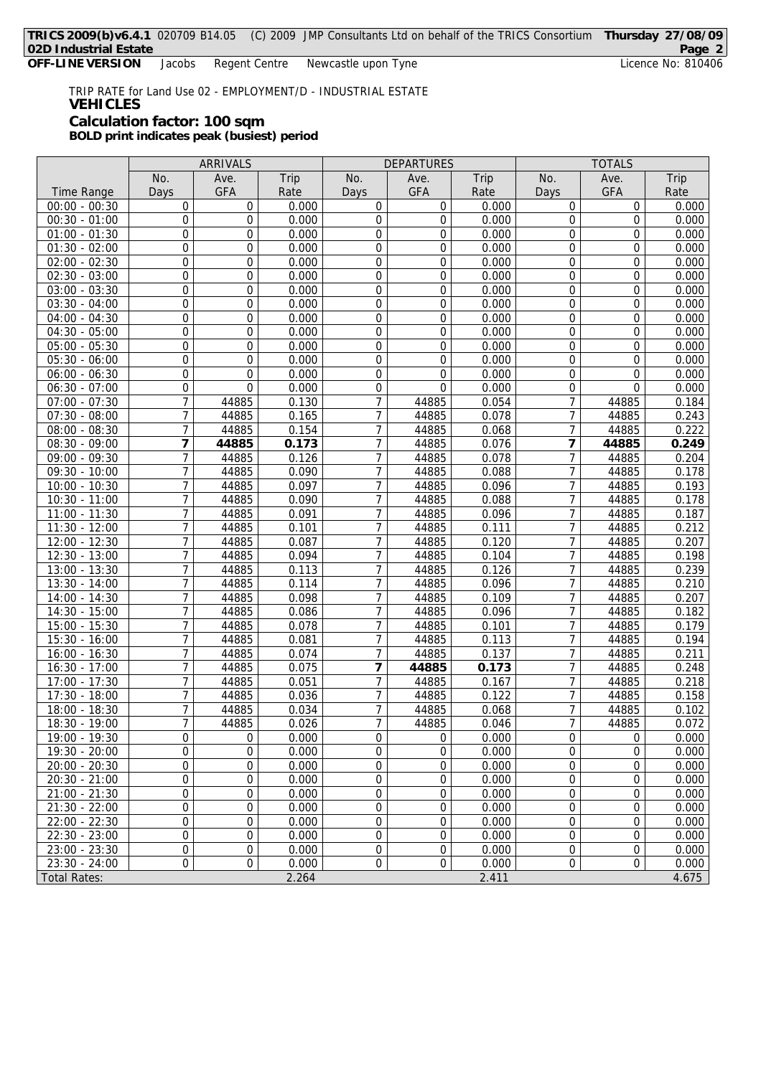TRIP RATE for Land Use 02 - EMPLOYMENT/D - INDUSTRIAL ESTATE **VEHICLES Calculation factor: 100 sqm BOLD print indicates peak (busiest) period**

ARRIVALS DEPARTURES TOTALS No. | Ave. | Trip | No. | Ave. | Trip | No. | Ave. | Trip Time Range | Days | GFA | Rate | Days | GFA | Rate | Days | GFA | Rate 00:00 - 00:30 0 0 0.000 0 0 0.000 0 0 0.000 00:30 - 01:00 0 0 0.000 0 0 0.000 0 0 0.000 01:00 - 01:30 0 0 0.000 0 0 0.000 0 0 0.000 01:30 - 02:00 0 0 0.000 0 0 0.000 0 0 0.000 02:00 - 02:30 0 0 0.000 0 0 0.000 0 0 0.000 02:30 - 03:00 0 0 0.000 0 0 0.000 0 0 0.000 03:00 - 03:30 0 0 0.000 0 0 0.000 0 0 0.000  $03:30 - 04:00$  0 0 0 0.000 0 0 0.000 0 0.000 0 0.000 0 0.000  $04:00 - 04:30$  0 0 0.000 0 0 0.000 0 0.000 0 0.000 0 0.000  $04:30 - 05:00$  0 0 0 0.000 0 0 0.000 0 0.000 0 0.000 05:00 - 05:30 0 0 0.000 0 0 0.000 0 0 0.000 05:30 - 06:00 0 0 0.000 0 0 0.000 0 0 0.000 06:00 - 06:30 0 0 0.000 0 0 0.000 0 0 0.000 06:30 - 07:00 0 0 0.000 0 0 0.000 0 0 0.000 07:00 - 07:30 7 44885 0.130 7 44885 0.054 7 44885 0.184 07:30 - 08:00 7 | 44885 | 0.165 | 7 | 44885 | 0.078 | 7 | 44885 | 0.243 08:00 - 08:30 7 44885 0.154 7 44885 0.068 7 44885 0.222<br>08:30 - 09:00 7 44885 0.173 7 44885 0.076 7 44885 0.249 08:30 - 09:00 **7 44885 0.173** 7 44885 0.076 **7 44885 0.249** 09:00 - 09:30 7 44885 0.126 7 44885 0.078 7 44885 0.204 09:30 - 10:00 7 44885 0.090 7 44885 0.088 7 44885 0.178 10:00 - 10:30 7 44885 0.097 7 44885 0.096 7 44885 0.193 10:30 - 11:00 7 44885 0.090 7 44885 0.088 7 44885 0.178 11:00 - 11:30 7 44885 0.091 7 44885 0.096 7 44885 0.187 11:30 - 12:00 7 44885 0.101 7 44885 0.111 7 44885 0.212 12:00 - 12:30 7 44885 0.087 7 44885 0.120 7 44885 0.207 12:30 - 13:00 7 44885 0.094 7 44885 0.104 7 44885 0.198 13:00 - 13:30 7 44885 0.113 7 44885 0.126 7 44885 0.239 13:30 - 14:00 7 44885 0.114 7 44885 0.096 7 44885 0.210<br>14:00 - 14:30 7 44885 0.098 7 44885 0.109 7 44885 0.207 14:00 - 14:30 7 44885 0.098 7 44885 0.109 7 44885 0.207 14:30 - 15:00 7 44885 0.086 7 44885 0.096 7 44885 0.182 15:00 - 15:30 7 44885 0.078 7 44885 0.101 7 44885 0.179 15:30 - 16:00 7 44885 0.081 7 44885 0.113 7 44885 0.194 16:00 - 16:30 7 44885 0.074 7 44885 0.137 7 44885 0.211 16:30 - 17:00 7 44885 0.075 **7 44885 0.173** 7 44885 0.248 17:00 - 17:30 7 44885 0.051 7 44885 0.167 7 44885 0.218 17:30 - 18:00 7 44885 0.036 7 44885 0.122 7 44885 0.158 18:00 - 18:30 7 44885 0.034 7 44885 0.068 7 44885 0.102 18:30 - 19:00 7 44885 0.026 7 44885 0.046 7 44885 0.072 19:00 - 19:30 0 0 0.000 0 0 0.000 0 0 0.000 19:30 - 20:00 0 0 0.000 0 0 0.000 0 0 0.000 20:00 - 20:30 0 0 0.000 0 0 0.000 0 0 0.000 20:30 - 21:00 0 0 0.000 0 0 0.000 0 0 0.000  $21:00 - 21:30$  0 0.000 0 0 0.000 0 0.000 0 0 21:30 - 22:00 0 0 0.000 0 0 0.000 0 0 0.000 22:00 - 22:30 0 0 0.000 0 0 0.000 0 0 0.000 22:30 - 23:00 0 0 0.000 0 0 0.000 0 0 0.000  $23:00 - 23:30$  0 0 0.000 0 0 0.000 0 0.000 0 0.000  $23:30 - 24:00$  0 0 0 0.000 0 0 0.000 0 0.000 0 0.000 Total Rates: 2.264 2.411 4.675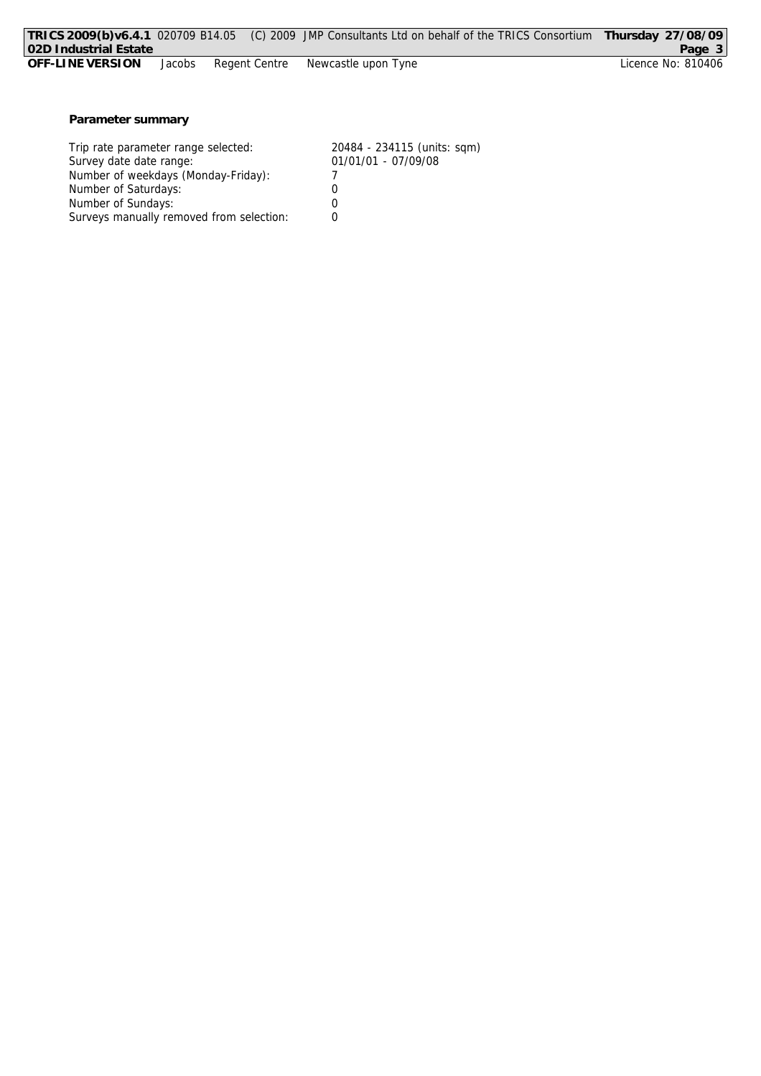|                       |        |               | TRICS 2009(b)v6.4.1 020709 B14.05 (C) 2009 JMP Consultants Ltd on behalf of the TRICS Consortium | Thursday 27/08/09  |
|-----------------------|--------|---------------|--------------------------------------------------------------------------------------------------|--------------------|
| 02D Industrial Estate |        |               |                                                                                                  | Page 3             |
| OFF-LINE VERSION      | Jacobs | Regent Centre | Newcastle upon Tyne                                                                              | Licence No: 810406 |
|                       |        |               |                                                                                                  |                    |
|                       |        |               |                                                                                                  |                    |
|                       |        |               |                                                                                                  |                    |
| Parameter summary     |        |               |                                                                                                  |                    |
|                       |        |               |                                                                                                  |                    |

| Trip rate parameter range selected:      | 20484 - 234115 (units: sqm) |
|------------------------------------------|-----------------------------|
| Survey date date range:                  | 01/01/01 - 07/09/08         |
| Number of weekdays (Monday-Friday):      |                             |
| Number of Saturdays:                     | $\left( \right)$            |
| Number of Sundays:                       | Ω                           |
| Surveys manually removed from selection: |                             |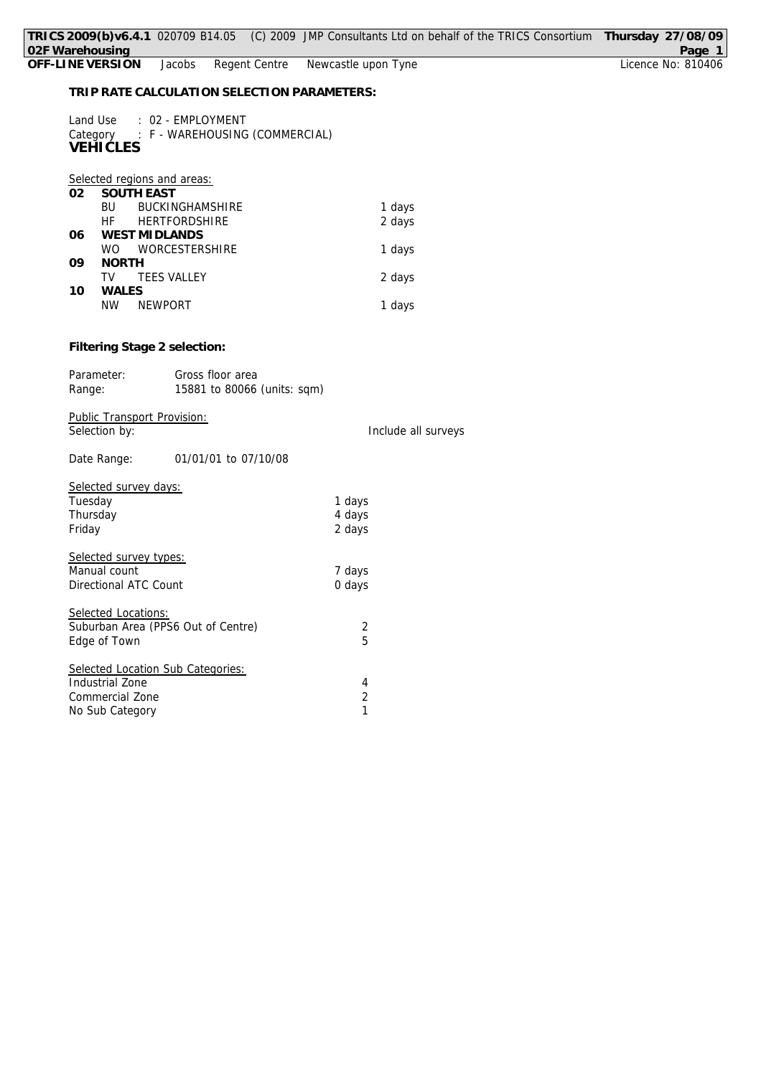| 02F Warehousing                                                 |                                                              | TRICS 2009(b)v6.4.1 020709 B14.05 (C) 2009 JMP Consultants Ltd on behalf of the TRICS Consortium Thursday 27/08/09 | Page 1             |
|-----------------------------------------------------------------|--------------------------------------------------------------|--------------------------------------------------------------------------------------------------------------------|--------------------|
| OFF-LINE VERSION                                                | Jacobs                                                       | Regent Centre<br>Newcastle upon Tyne                                                                               | Licence No: 810406 |
|                                                                 |                                                              | TRIP RATE CALCULATION SELECTION PARAMETERS:                                                                        |                    |
| Land Use<br><b>VEHIČLES</b>                                     | : 02 - EMPLOYMENT<br>Category : F - WAREHOUSING (COMMERCIAL) |                                                                                                                    |                    |
| 02                                                              | Selected regions and areas:<br>SOUTH EAST                    |                                                                                                                    |                    |
| <b>BU</b><br>HF.                                                | BUCKINGHAMSHIRE<br>HERTFORDSHIRE                             | 1 days<br>2 days                                                                                                   |                    |
| 06<br><b>WO</b>                                                 | <b>WEST MIDLANDS</b><br>WORCESTERSHIRE                       | 1 days                                                                                                             |                    |
| <b>NORTH</b><br>09<br><b>TV</b>                                 | <b>TEES VALLEY</b>                                           | 2 days                                                                                                             |                    |
| WALES<br>10<br><b>NW</b>                                        | <b>NEWPORT</b>                                               | 1 days                                                                                                             |                    |
| Parameter:<br>Range:                                            | Filtering Stage 2 selection:<br>Gross floor area             | 15881 to 80066 (units: sqm)                                                                                        |                    |
| Selection by:                                                   | Public Transport Provision:                                  | Include all surveys                                                                                                |                    |
| Date Range:                                                     | 01/01/01 to 07/10/08                                         |                                                                                                                    |                    |
| Selected survey days:<br>Tuesday<br>Thursday<br>Friday          |                                                              | 1 days<br>4 days<br>2 days                                                                                         |                    |
| Selected survey types:<br>Manual count<br>Directional ATC Count |                                                              | 7 days<br>0 days                                                                                                   |                    |
| Selected Locations:<br>Edge of Town                             | Suburban Area (PPS6 Out of Centre)                           | 2<br>5                                                                                                             |                    |
| <b>Industrial Zone</b><br>Commercial Zone<br>No Sub Category    | Selected Location Sub Categories:                            | 4<br>$\overline{2}$<br>1                                                                                           |                    |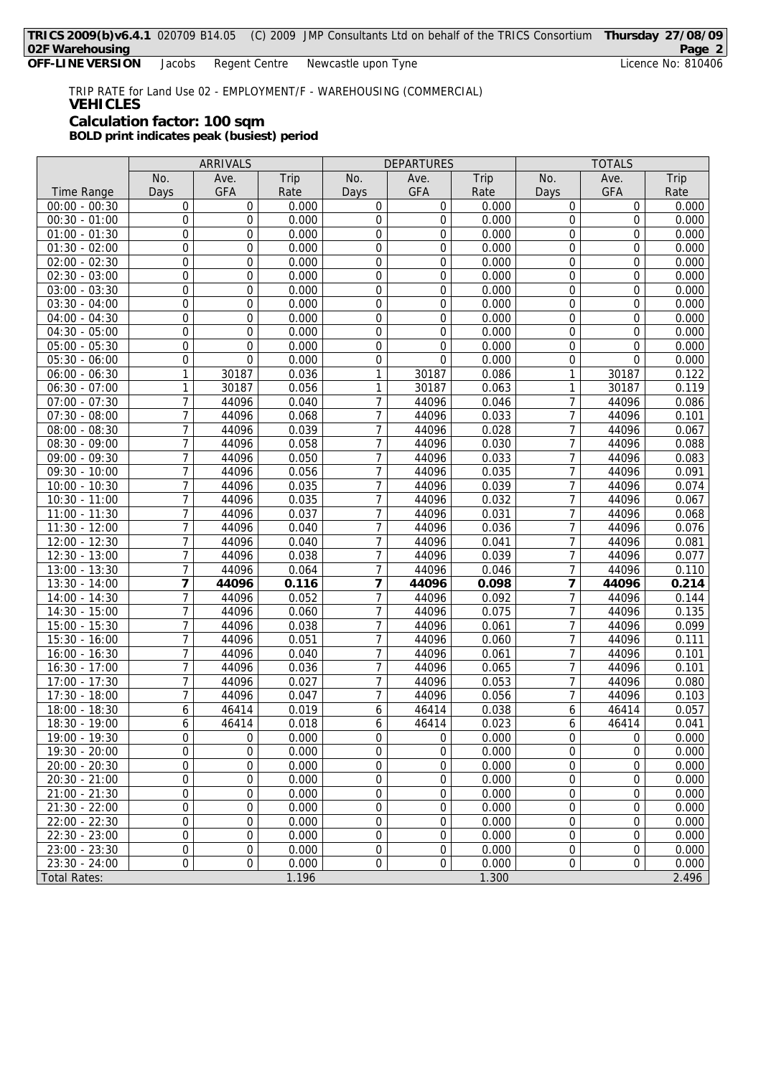TRIP RATE for Land Use 02 - EMPLOYMENT/F - WAREHOUSING (COMMERCIAL) **VEHICLES Calculation factor: 100 sqm**

**BOLD print indicates peak (busiest) period**

|                     | ARRIVALS         |                | <b>DEPARTURES</b> |                  |             | <b>TOTALS</b> |                |                  |       |
|---------------------|------------------|----------------|-------------------|------------------|-------------|---------------|----------------|------------------|-------|
|                     | No.              | Ave.           | Trip              | No.              | Ave.        | Trip          | No.            | Ave.             | Trip  |
| <b>Time Range</b>   | Days             | <b>GFA</b>     | Rate              | Days             | <b>GFA</b>  | Rate          | Days           | <b>GFA</b>       | Rate  |
| $00:00 - 00:30$     | $\mathbf 0$      | 0              | 0.000             | 0                | 0           | 0.000         | 0              | 0                | 0.000 |
| $00:30 - 01:00$     | 0                | 0              | 0.000             | 0                | 0           | 0.000         | $\mathbf 0$    | $\mathbf 0$      | 0.000 |
| $01:00 - 01:30$     | $\boldsymbol{0}$ | 0              | 0.000             | 0                | 0           | 0.000         | $\overline{0}$ | 0                | 0.000 |
| $01:30 - 02:00$     | 0                | 0              | 0.000             | $\boldsymbol{0}$ | 0           | 0.000         | $\overline{0}$ | 0                | 0.000 |
| $02:00 - 02:30$     | 0                | 0              | 0.000             | $\boldsymbol{0}$ | $\mathbf 0$ | 0.000         | $\overline{0}$ | $\overline{0}$   | 0.000 |
| $02:30 - 03:00$     | $\boldsymbol{0}$ | 0              | 0.000             | 0                | 0           | 0.000         | 0              | 0                | 0.000 |
| $03:00 - 03:30$     | 0                | 0              | 0.000             | 0                | 0           | 0.000         | 0              | 0                | 0.000 |
| $03:30 - 04:00$     | $\boldsymbol{0}$ | $\overline{0}$ | 0.000             | 0                | 0           | 0.000         | $\overline{0}$ | $\overline{0}$   | 0.000 |
| $04:00 - 04:30$     | $\boldsymbol{0}$ | 0              | 0.000             | $\boldsymbol{0}$ | 0           | 0.000         | $\overline{0}$ | 0                | 0.000 |
| $04:30 - 05:00$     | $\boldsymbol{0}$ | 0              | 0.000             | $\boldsymbol{0}$ | 0           | 0.000         | 0              | 0                | 0.000 |
| $05:00 - 05:30$     | $\boldsymbol{0}$ | 0              | 0.000             | 0                | 0           | 0.000         | $\overline{0}$ | 0                | 0.000 |
| $05:30 - 06:00$     | $\boldsymbol{0}$ | 0              | 0.000             | 0                | 0           | 0.000         | 0              | 0                | 0.000 |
| $06:00 - 06:30$     | $\mathbf{1}$     | 30187          | 0.036             | 1                | 30187       | 0.086         | 1              | 30187            | 0.122 |
| $06:30 - 07:00$     | $\mathbf{1}$     | 30187          | 0.056             | 1                | 30187       | 0.063         | $\mathbf{1}$   | 30187            | 0.119 |
| $07:00 - 07:30$     | $\overline{7}$   | 44096          | 0.040             | $\overline{7}$   | 44096       | 0.046         | 7              | 44096            | 0.086 |
| $07:30 - 08:00$     | $\overline{7}$   | 44096          | 0.068             | 7                | 44096       | 0.033         | 7              | 44096            | 0.101 |
| $08:00 - 08:30$     | $\overline{7}$   | 44096          | 0.039             | $\overline{7}$   | 44096       | 0.028         | 7              | 44096            | 0.067 |
| $08:30 - 09:00$     | 7                | 44096          | 0.058             | 7                | 44096       | 0.030         | 7              | 44096            | 0.088 |
| $09:00 - 09:30$     | $\overline{7}$   | 44096          | 0.050             | 7                | 44096       | 0.033         | 7              | 44096            | 0.083 |
| $09:30 - 10:00$     | $\overline{7}$   | 44096          | 0.056             | 7                | 44096       | 0.035         | 7              | 44096            | 0.091 |
| $10:00 - 10:30$     | $\overline{7}$   | 44096          | 0.035             | 7                | 44096       | 0.039         | 7              | 44096            | 0.074 |
| $10:30 - 11:00$     | $\overline{7}$   | 44096          | 0.035             | $\overline{7}$   | 44096       | 0.032         | 7              | 44096            | 0.067 |
| $11:00 - 11:30$     | $\overline{7}$   | 44096          | 0.037             | 7                | 44096       | 0.031         | 7              | 44096            | 0.068 |
| $11:30 - 12:00$     | $\overline{7}$   | 44096          | 0.040             | 7                | 44096       | 0.036         | 7              | 44096            | 0.076 |
| 12:00 - 12:30       | $\overline{7}$   | 44096          | 0.040             | $\overline{7}$   | 44096       | 0.041         | 7              | 44096            | 0.081 |
| $12:30 - 13:00$     | $\overline{7}$   | 44096          | 0.038             | 7                | 44096       | 0.039         | 7              | 44096            | 0.077 |
| $13:00 - 13:30$     | $\overline{7}$   | 44096          | 0.064             | 7                | 44096       | 0.046         | 7              | 44096            | 0.110 |
| $13:30 - 14:00$     | 7                | 44096          | 0.116             | $\overline{7}$   | 44096       | 0.098         | 7              | 44096            | 0.214 |
| $14:00 - 14:30$     | $\overline{7}$   | 44096          | 0.052             | 7                | 44096       | 0.092         | 7              | 44096            | 0.144 |
| $14:30 - 15:00$     | $\overline{7}$   | 44096          | 0.060             | 7                | 44096       | 0.075         | 7              | 44096            | 0.135 |
| 15:00 - 15:30       | $\overline{7}$   | 44096          | 0.038             | 7                | 44096       | 0.061         | 7              | 44096            | 0.099 |
| 15:30 - 16:00       | $\overline{7}$   | 44096          | 0.051             | $\overline{7}$   | 44096       | 0.060         | 7              | 44096            | 0.111 |
| $16:00 - 16:30$     | $\overline{7}$   | 44096          | 0.040             | $\overline{7}$   | 44096       | 0.061         | 7              | 44096            | 0.101 |
| 16:30 - 17:00       | $\overline{7}$   | 44096          | 0.036             | 7                | 44096       | 0.065         | 7              | 44096            | 0.101 |
| $17:00 - 17:30$     | $\overline{7}$   | 44096          | 0.027             | 7                | 44096       | 0.053         | 7              | 44096            | 0.080 |
| 17:30 - 18:00       | $\overline{7}$   | 44096          | 0.047             | 7                | 44096       | 0.056         | 7              | 44096            | 0.103 |
| $18:00 - 18:30$     | 6                | 46414          | 0.019             | 6                | 46414       | 0.038         | 6              | 46414            | 0.057 |
| 18:30 - 19:00       | $\boldsymbol{6}$ | 46414          | 0.018             | 6                | 46414       | 0.023         | 6              | 46414            | 0.041 |
| 19:00 - 19:30       | 0                | 0              | 0.000             | 0                | 0           | 0.000         | $\mathbf 0$    | $\mathbf 0$      | 0.000 |
| 19:30 - 20:00       | $\boldsymbol{0}$ | 0              | 0.000             | 0                | 0           | 0.000         | 0              | 0                | 0.000 |
| $20:00 - 20:30$     | $\boldsymbol{0}$ | 0              | 0.000             | 0                | 0           | 0.000         | $\mathbf 0$    | 0                | 0.000 |
| $20:30 - 21:00$     | 0                | 0              | 0.000             | 0                | 0           | 0.000         | 0              | 0                | 0.000 |
| $21:00 - 21:30$     | $\boldsymbol{0}$ | 0              | 0.000             | 0                | 0           | 0.000         | 0              | $\boldsymbol{0}$ | 0.000 |
| $21:30 - 22:00$     | 0                | 0              | 0.000             | $\boldsymbol{0}$ | 0           | 0.000         | 0              | 0                | 0.000 |
| $22:00 - 22:30$     | $\boldsymbol{0}$ | 0              | 0.000             | $\boldsymbol{0}$ | 0           | 0.000         | 0              | 0                | 0.000 |
| $22:30 - 23:00$     | $\boldsymbol{0}$ | 0              | 0.000             | 0                | 0           | 0.000         | $\mathbf 0$    | 0                | 0.000 |
| $23:00 - 23:30$     | $\overline{0}$   | 0              | 0.000             | 0                | 0           | 0.000         | 0              | 0                | 0.000 |
| $23:30 - 24:00$     | $\boldsymbol{0}$ | 0              | 0.000             | $\boldsymbol{0}$ | 0           | 0.000         | $\overline{0}$ | 0                | 0.000 |
| <b>Total Rates:</b> |                  |                | 1.196             |                  |             | 1.300         |                |                  | 2.496 |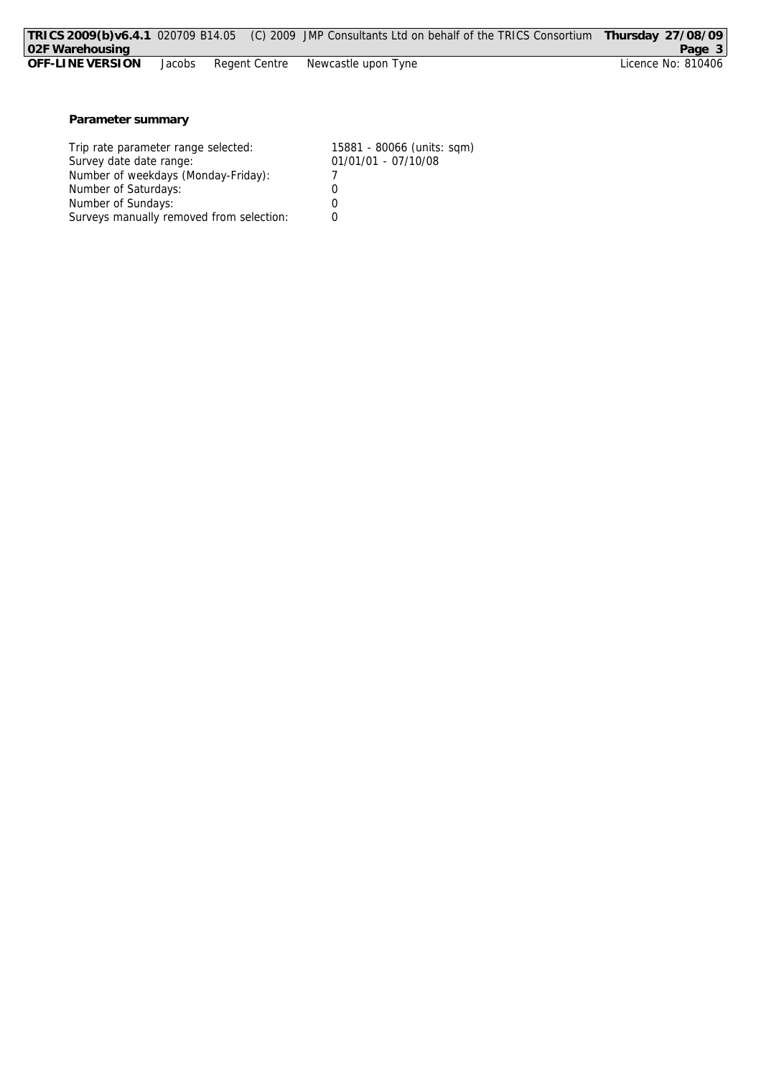|                  |        |  | TRICS 2009(b)v6.4.1 020709 B14.05 (C) 2009 JMP Consultants Ltd on behalf of the TRICS Consortium | Thursday 27/08/09  |
|------------------|--------|--|--------------------------------------------------------------------------------------------------|--------------------|
| 102F Warehousing |        |  |                                                                                                  | Page 3             |
| OFF-LINE VERSION | Jacobs |  | Regent Centre Mewcastle upon Tyne                                                                | Licence No: 810406 |
|                  |        |  |                                                                                                  |                    |
|                  |        |  |                                                                                                  |                    |

**Parameter summary**

| Trip rate parameter range selected:      | 15881 - 80066 (units: sqm) |
|------------------------------------------|----------------------------|
| Survey date date range:                  | 01/01/01 - 07/10/08        |
| Number of weekdays (Monday-Friday):      |                            |
| Number of Saturdays:                     |                            |
| Number of Sundays:                       |                            |
| Surveys manually removed from selection: |                            |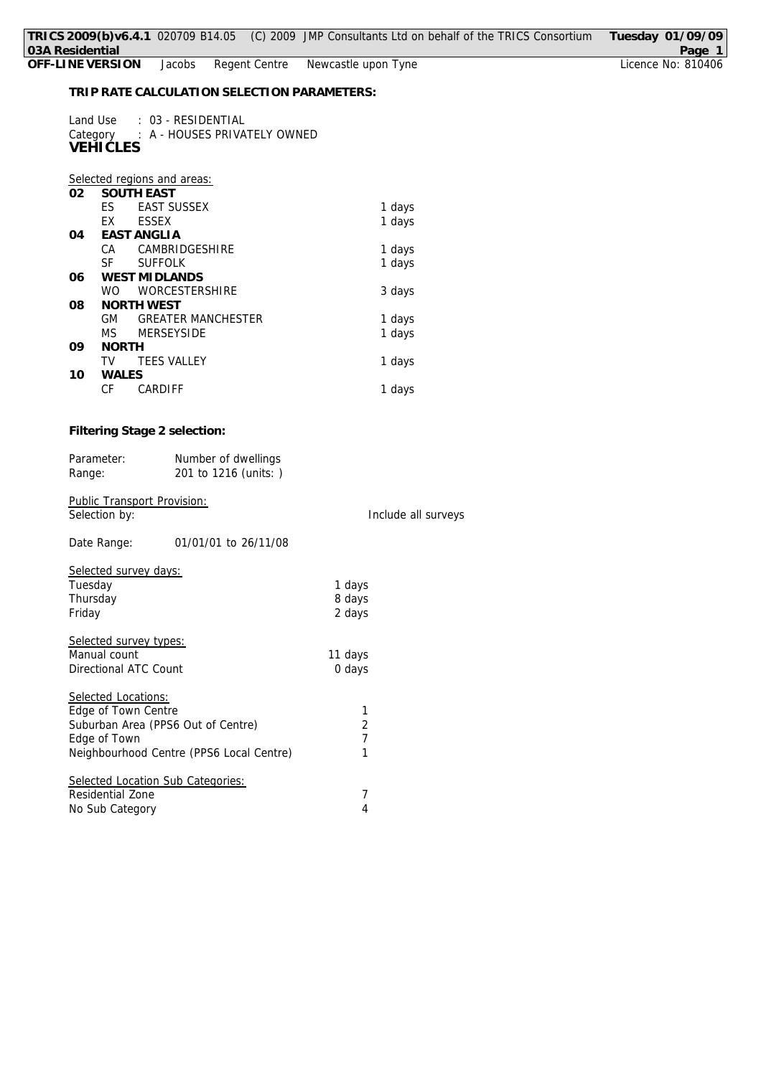# Jacobs Regent Centre

**TRIP RATE CALCULATION SELECTION PARAMETERS:**

| Land Use        | : 03 - RESIDENTIAL                    |
|-----------------|---------------------------------------|
|                 | Category : A - HOUSES PRIVATELY OWNED |
| <b>VEHICLES</b> |                                       |

## *Selected regions and areas:*

| 02 |              | <b>SOUTH EAST</b>         |        |
|----|--------------|---------------------------|--------|
|    | ES           | <b>EAST SUSSEX</b>        | 1 days |
|    | EX           | <b>ESSEX</b>              | 1 days |
| 04 |              | EAST ANGLIA               |        |
|    | CA           | CAMBRIDGESHIRE            | 1 days |
|    | SF.          | <b>SUFFOLK</b>            | 1 days |
| 06 |              | <b>WEST MIDLANDS</b>      |        |
|    | WO.          | <b>WORCESTERSHIRE</b>     | 3 days |
| 08 |              | NORTH WEST                |        |
|    | <b>GM</b>    | <b>GREATER MANCHESTER</b> | 1 days |
|    | MS.          | <b>MERSEYSIDE</b>         | 1 days |
| 09 | <b>NORTH</b> |                           |        |
|    | TV           | <b>TEES VALLEY</b>        | 1 days |
| 10 | WALES        |                           |        |
|    | СF           | CARDIFF                   | 1 days |

# **Filtering Stage 2 selection:**

| Parameter:<br>Range:                                                                             | Number of dwellings<br>201 to 1216 (units: ) |                               |                     |
|--------------------------------------------------------------------------------------------------|----------------------------------------------|-------------------------------|---------------------|
| <b>Public Transport Provision:</b><br>Selection by:                                              |                                              |                               | Include all surveys |
| Date Range:                                                                                      | 01/01/01 to 26/11/08                         |                               |                     |
| Selected survey days:<br>Tuesday<br>Thursday<br>Friday                                           |                                              | 1 days<br>8 days<br>2 days    |                     |
| Selected survey types:<br>Manual count<br>Directional ATC Count                                  |                                              | 11 days<br>0 days             |                     |
| Selected Locations:<br>Edge of Town Centre<br>Suburban Area (PPS6 Out of Centre)<br>Edge of Town | Neighbourhood Centre (PPS6 Local Centre)     | 1<br>2<br>$\overline{1}$<br>1 |                     |
| Selected Location Sub Categories:<br>Residential Zone<br>No Sub Category                         |                                              | 7<br>4                        |                     |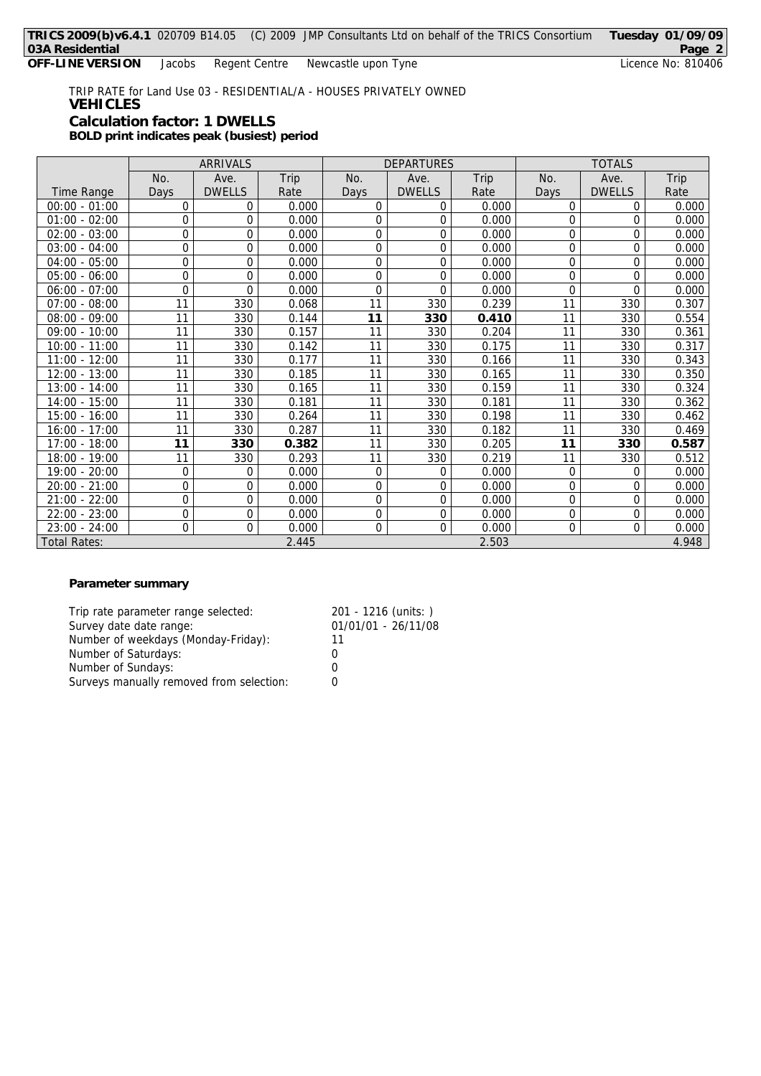TRIP RATE for Land Use 03 - RESIDENTIAL/A - HOUSES PRIVATELY OWNED **VEHICLES Calculation factor: 1 DWELLS BOLD print indicates peak (busiest) period**

|                 | ARRIVALS |                |       | <b>DEPARTURES</b> |               |       | <b>TOTALS</b> |               |       |
|-----------------|----------|----------------|-------|-------------------|---------------|-------|---------------|---------------|-------|
|                 | No.      | Ave.           | Trip  | No.               | Ave.          | Trip  | No.           | Ave.          | Trip  |
| Time Range      | Days     | <b>DWELLS</b>  | Rate  | Days              | <b>DWELLS</b> | Rate  | Days          | <b>DWELLS</b> | Rate  |
| $00:00 - 01:00$ | 0        | 0              | 0.000 | $\Omega$          | 0             | 0.000 | 0             | 0             | 0.000 |
| $01:00 - 02:00$ | 0        | $\Omega$       | 0.000 | 0                 | 0             | 0.000 | 0             | $\Omega$      | 0.000 |
| $02:00 - 03:00$ | 0        | $\Omega$       | 0.000 | 0                 | 0             | 0.000 | 0             | $\Omega$      | 0.000 |
| $03:00 - 04:00$ | 0        | 0              | 0.000 | 0                 | 0             | 0.000 | 0             | 0             | 0.000 |
| $04:00 - 05:00$ | 0        | $\overline{0}$ | 0.000 | 0                 | 0             | 0.000 | 0             | 0             | 0.000 |
| $05:00 - 06:00$ | 0        | $\overline{0}$ | 0.000 | 0                 | 0             | 0.000 | 0             | 0             | 0.000 |
| $06:00 - 07:00$ | 0        | $\Omega$       | 0.000 | $\Omega$          | 0             | 0.000 | $\Omega$      | $\Omega$      | 0.000 |
| $07:00 - 08:00$ | 11       | 330            | 0.068 | 11                | 330           | 0.239 | 11            | 330           | 0.307 |
| $08:00 - 09:00$ | 11       | 330            | 0.144 | 11                | 330           | 0.410 | 11            | 330           | 0.554 |
| 09:00 - 10:00   | 11       | 330            | 0.157 | 11                | 330           | 0.204 | 11            | 330           | 0.361 |
| $10:00 - 11:00$ | 11       | 330            | 0.142 | 11                | 330           | 0.175 | 11            | 330           | 0.317 |
| $11:00 - 12:00$ | 11       | 330            | 0.177 | 11                | 330           | 0.166 | 11            | 330           | 0.343 |
| $12:00 - 13:00$ | 11       | 330            | 0.185 | 11                | 330           | 0.165 | 11            | 330           | 0.350 |
| $13:00 - 14:00$ | 11       | 330            | 0.165 | 11                | 330           | 0.159 | 11            | 330           | 0.324 |
| 14:00 - 15:00   | 11       | 330            | 0.181 | 11                | 330           | 0.181 | 11            | 330           | 0.362 |
| $15:00 - 16:00$ | 11       | 330            | 0.264 | 11                | 330           | 0.198 | 11            | 330           | 0.462 |
| 16:00 - 17:00   | 11       | 330            | 0.287 | 11                | 330           | 0.182 | 11            | 330           | 0.469 |
| 17:00 - 18:00   | 11       | 330            | 0.382 | 11                | 330           | 0.205 | 11            | 330           | 0.587 |
| 18:00 - 19:00   | 11       | 330            | 0.293 | 11                | 330           | 0.219 | 11            | 330           | 0.512 |
| 19:00 - 20:00   | 0        | 0              | 0.000 | 0                 | 0             | 0.000 | 0             | 0             | 0.000 |
| $20:00 - 21:00$ | 0        | 0              | 0.000 | 0                 | 0             | 0.000 | 0             | $\Omega$      | 0.000 |
| $21:00 - 22:00$ | 0        | 0              | 0.000 | 0                 | 0             | 0.000 | 0             | $\Omega$      | 0.000 |
| $22:00 - 23:00$ | 0        | 0              | 0.000 | 0                 | 0             | 0.000 | 0             | 0             | 0.000 |
| $23:00 - 24:00$ | 0        | 0              | 0.000 | 0                 | 0             | 0.000 | 0             | $\mathbf 0$   | 0.000 |
| Total Rates:    |          |                | 2.445 |                   |               | 2.503 |               |               | 4.948 |

## **Parameter summary**

| Trip rate parameter range selected:      | 201 - 1216 (units: ) |
|------------------------------------------|----------------------|
| Survey date date range:                  | 01/01/01 - 26/11/08  |
| Number of weekdays (Monday-Friday):      | 11                   |
| Number of Saturdays:                     |                      |
| Number of Sundays:                       |                      |
| Surveys manually removed from selection: |                      |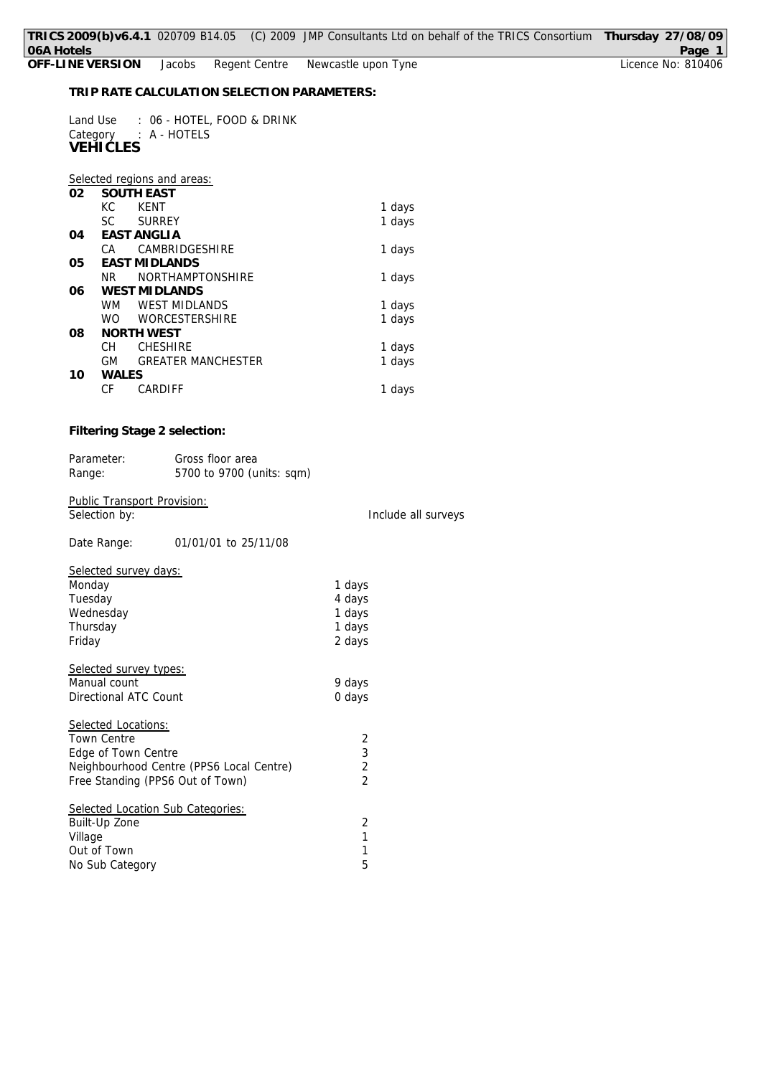| : 06 - HOTEL, FOOD & DRINK<br>Land Use<br>Category : A - HOTELS<br><b>VEHICLES</b> |        |                             |        |  |  |  |
|------------------------------------------------------------------------------------|--------|-----------------------------|--------|--|--|--|
|                                                                                    |        | Selected regions and areas: |        |  |  |  |
| 02                                                                                 |        | <b>SOUTH EAST</b>           |        |  |  |  |
|                                                                                    | КC     | <b>KENT</b>                 | 1 days |  |  |  |
|                                                                                    | SC.    | <b>SURREY</b>               | 1 days |  |  |  |
| 04                                                                                 |        | <b>FAST ANGLIA</b>          |        |  |  |  |
|                                                                                    | CA.    | CAMBRIDGESHIRE              | 1 days |  |  |  |
| 05                                                                                 |        | <b>EAST MIDLANDS</b>        |        |  |  |  |
|                                                                                    | NR.    | <b>NORTHAMPTONSHIRE</b>     | 1 days |  |  |  |
| 06                                                                                 |        | <b>WEST MIDLANDS</b>        |        |  |  |  |
|                                                                                    | WM     | <b>WEST MIDI ANDS</b>       | 1 days |  |  |  |
|                                                                                    | WO –   | <b>WORCESTERSHIRE</b>       | 1 days |  |  |  |
| 08                                                                                 |        | <b>NORTH WEST</b>           |        |  |  |  |
|                                                                                    | CН     | <b>CHESHIRE</b>             | 1 days |  |  |  |
|                                                                                    | GM     | <b>GREATER MANCHESTER</b>   | 1 days |  |  |  |
| 10                                                                                 | WAI FS |                             |        |  |  |  |
|                                                                                    | СF     | CARDIFF                     | 1 days |  |  |  |

**Filtering Stage 2 selection:**

| Parameter: | Gross floor area          |
|------------|---------------------------|
| Range:     | 5700 to 9700 (units: sqm) |

Public Transport Provision:<br>Selection by:

Include all surveys

| Date Range:           | 01/01/01 to 25/11/08 |
|-----------------------|----------------------|
| Salactad survay dave: |                      |

| Selected survey days:                    |                |
|------------------------------------------|----------------|
| Monday                                   | 1 days         |
| Tuesday                                  | 4 days         |
| Wednesday                                | 1 days         |
| Thursday                                 | 1 days         |
| Friday                                   | 2 days         |
| Selected survey types:                   |                |
| Manual count                             | 9 days         |
| Directional ATC Count                    | 0 days         |
| Selected Locations:                      |                |
| <b>Town Centre</b>                       | 2              |
| Edge of Town Centre                      | $\overline{3}$ |
| Neighbourhood Centre (PPS6 Local Centre) | 2              |
| Free Standing (PPS6 Out of Town)         | $\overline{2}$ |
| Selected Location Sub Categories:        |                |
| Built-Up Zone                            | 2              |
| Village                                  | 1              |
| Out of Town                              | 1              |
| No Sub Category                          | 5              |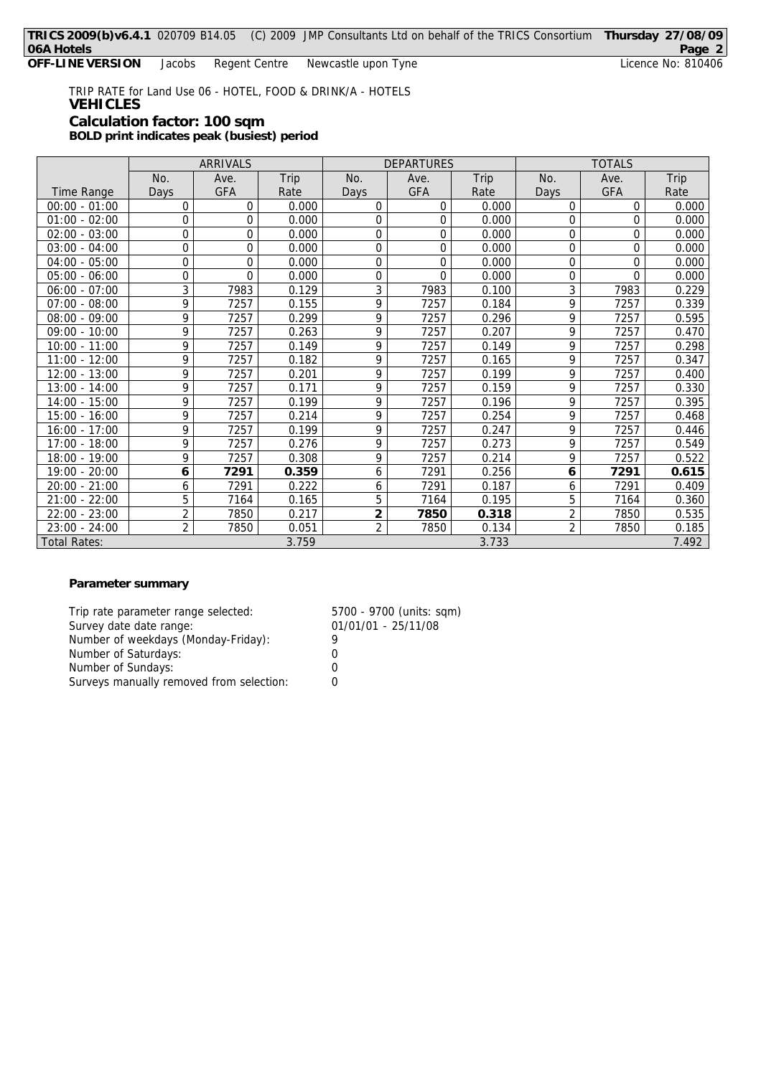TRIP RATE for Land Use 06 - HOTEL, FOOD & DRINK/A - HOTELS **VEHICLES Calculation factor: 100 sqm BOLD print indicates peak (busiest) period**

ARRIVALS DEPARTURES TOTALS No. | Ave. | Trip | No. | Ave. | Trip | No. | Ave. | Trip Time Range | Days | GFA | Rate | Days | GFA | Rate | Days | GFA | Rate 00:00 - 01:00 0 0 0.000 0 0 0.000 0 0 0.000 01:00 - 02:00 0 0 0.000 0 0 0.000 0 0 0.000  $02:00 - 03:00$  0 0 0 0.000 0 0 0.000 0 0.000 0 0.000 03:00 - 04:00 0 0 0.000 0 0 0.000 0 0 0.000 04:00 - 05:00 0 0 0.000 0 0 0.000 0 0 0.000 05:00 - 06:00 0 0 0.000 0 0 0.000 0 0 0.000 06:00 - 07:00 3 7983 0.129 3 7983 0.100 3 7983 0.229 07:00 - 08:00 9 7257 0.155 9 7257 0.184 9 7257 0.339 08:00 - 09:00 9 7257 0.299 9 7257 0.296 9 7257<br>09:00 - 10:00 9 7257 0.263 9 7257 0.207 9 7257 09:00 - 10:00 9 7257 0.263 9 7257 0.207 9 7257 0.470 10:00 - 11:00 9 7257 0.149 9 7257 0.149 9 7257 0.298 11:00 - 12:00 9 7257 0.182 9 7257 0.165 9 7257 0.347 12:00 - 13:00 9 7257 0.201 9 7257 0.199 9 7257 0.400 13:00 - 14:00 9 7257 0.171 9 7257 0.159 9 7257 0.330 14:00 - 15:00 | 9 | 7257 | 0.199 | 9 | 7257 | 0.196 | 9 | 7257 | 0.395 15:00 - 16:00 9 7257 0.214 9 7257 0.254 9 7257 0.468 16:00 - 17:00 9 7257 0.199 9 7257 0.247 9 7257 0.446 17:00 - 18:00 9 7257 0.276 9 7257 0.273 9 7257 0.549 18:00 - 19:00 9 7257 0.308 9 7257 0.214 9 7257 0.522 19:00 - 20:00 **6 7291 0.359** 6 7291 0.256 **6 7291 0.615** 20:00 - 21:00 6 7291 0.222 6 7291 0.187 6 7291 0.409 21:00 - 22:00 5 7164 0.165 5 7164 0.195 5 7164 0.360 22:00 - 23:00 2 7850 0.217 **2 7850 0.318** 2 7850 0.535 23:00 - 24:00 2 7850 0.051 2 7850 0.134 2 7850 0.185 Total Rates: 3.759 3.733 7.492

### **Parameter summary**

Trip rate parameter range selected: 5700 - 9700 (units: sqm) Survey date date range: 01/01/01 - 25/11/08 Number of weekdays (Monday-Friday): 9 Number of Saturdays: 0 Number of Sundays: 0 Surveys manually removed from selection: 0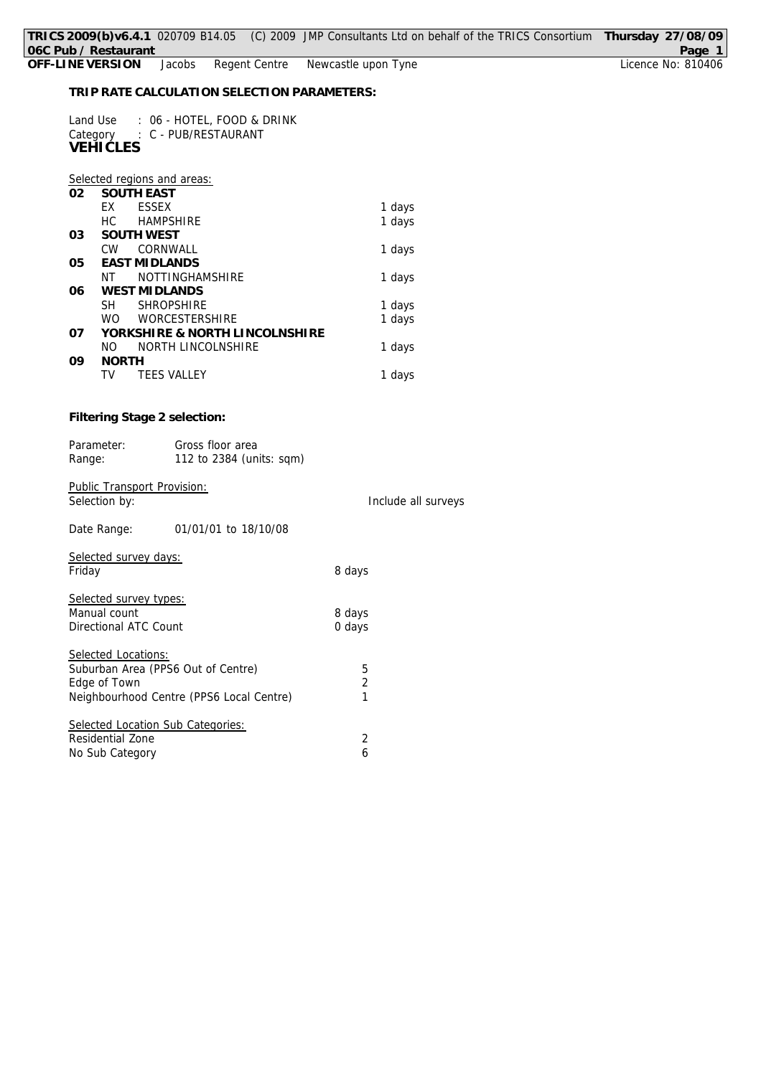Jacobs Regent Centre Newcastle upon Tyne

**TRIP RATE CALCULATION SELECTION PARAMETERS:**

| Land Use : 06 - HOTEL, FOOD & DRINK<br>Category<br>: C - PUB/RESTAURANT<br>VEHIČLES |                     |
|-------------------------------------------------------------------------------------|---------------------|
| Selected regions and areas:<br><b>SOUTH EAST</b><br>02                              |                     |
| EX<br><b>ESSEX</b>                                                                  | 1 days              |
| НC<br><b>HAMPSHIRE</b>                                                              | 1 days              |
| SOUTH WEST<br>03<br>CW CORNWALL                                                     |                     |
| <b>EAST MIDLANDS</b><br>05                                                          | 1 days              |
| NT<br>NOTTINGHAMSHIRE                                                               | 1 days              |
| <b>WEST MIDLANDS</b><br>06                                                          |                     |
| SH SHROPSHIRE                                                                       | 1 days              |
| <b>WO</b><br>WORCESTERSHIRE                                                         | 1 days              |
| YORKSHIRE & NORTH LINCOLNSHIRE<br>07                                                |                     |
| NO NORTH LINCOLNSHIRE                                                               | 1 days              |
| 09<br><b>NORTH</b><br>TV TEES VALLEY                                                |                     |
|                                                                                     | 1 days              |
| Filtering Stage 2 selection:                                                        |                     |
| Parameter:<br>Gross floor area<br>112 to 2384 (units: sqm)<br>Range:                |                     |
| Public Transport Provision:<br>Selection by:                                        | Include all surveys |
| Date Range:<br>01/01/01 to 18/10/08                                                 |                     |
| Selected survey days:<br>Friday                                                     | 8 days              |
| Selected survey types:<br>Manual count<br>Directional ATC Count                     | 8 days<br>0 days    |
|                                                                                     |                     |
| Selected Locations:                                                                 |                     |
| Suburban Area (PPS6 Out of Centre)                                                  | 5                   |
| Edge of Town                                                                        | 2<br>1              |
| Neighbourhood Centre (PPS6 Local Centre)                                            |                     |
| Selected Location Sub Categories:                                                   |                     |
| Residential Zone                                                                    | 2                   |
| No Sub Category                                                                     | 6                   |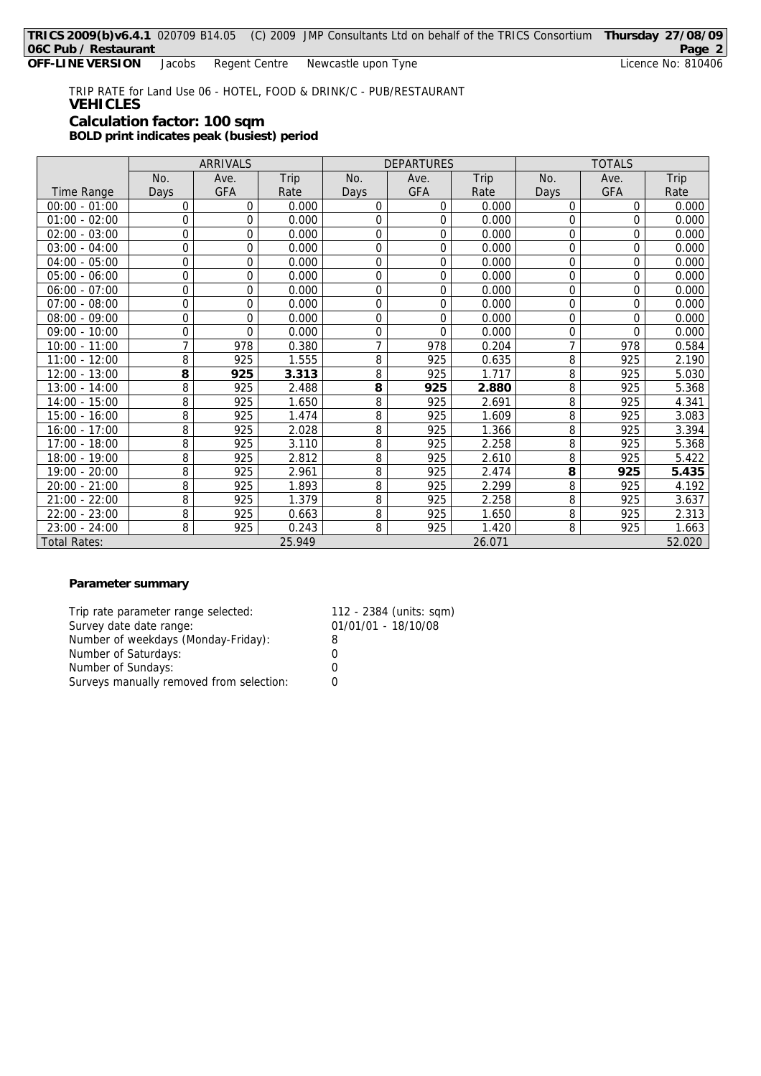TRIP RATE for Land Use 06 - HOTEL, FOOD & DRINK/C - PUB/RESTAURANT **VEHICLES Calculation factor: 100 sqm BOLD print indicates peak (busiest) period**

|                     | ARRIVALS |            |        | <b>DEPARTURES</b> |            |        | <b>TOTALS</b> |          |        |
|---------------------|----------|------------|--------|-------------------|------------|--------|---------------|----------|--------|
|                     | No.      | Ave.       | Trip   | No.               | Ave.       | Trip   | No.           | Ave.     | Trip   |
| <b>Time Range</b>   | Days     | <b>GFA</b> | Rate   | Days              | <b>GFA</b> | Rate   | Days          | GFA      | Rate   |
| $00:00 - 01:00$     | 0        | 0          | 0.000  | 0                 | 0          | 0.000  | 0             | 0        | 0.000  |
| $01:00 - 02:00$     | 0        | 0          | 0.000  | 0                 | 0          | 0.000  | 0             | $\Omega$ | 0.000  |
| $02:00 - 03:00$     | 0        | 0          | 0.000  | 0                 | 0          | 0.000  | 0             | $\Omega$ | 0.000  |
| $03:00 - 04:00$     | 0        | 0          | 0.000  | 0                 | 0          | 0.000  | $\Omega$      | $\Omega$ | 0.000  |
| $04:00 - 05:00$     | 0        | 0          | 0.000  | 0                 | 0          | 0.000  | 0             | $\Omega$ | 0.000  |
| $05:00 - 06:00$     | 0        | 0          | 0.000  | $\overline{0}$    | 0          | 0.000  | 0             | $\Omega$ | 0.000  |
| $06:00 - 07:00$     | 0        | $\Omega$   | 0.000  | 0                 | 0          | 0.000  | 0             | $\Omega$ | 0.000  |
| $07:00 - 08:00$     | 0        | 0          | 0.000  | 0                 | 0          | 0.000  | 0             | 0        | 0.000  |
| $08:00 - 09:00$     | 0        | 0          | 0.000  | 0                 | 0          | 0.000  | 0             | $\Omega$ | 0.000  |
| $09:00 - 10:00$     | 0        | $\Omega$   | 0.000  | 0                 | 0          | 0.000  | 0             | $\Omega$ | 0.000  |
| $10:00 - 11:00$     | 7        | 978        | 0.380  | 7                 | 978        | 0.204  | 7             | 978      | 0.584  |
| $11:00 - 12:00$     | 8        | 925        | 1.555  | 8                 | 925        | 0.635  | 8             | 925      | 2.190  |
| $12:00 - 13:00$     | 8        | 925        | 3.313  | 8                 | 925        | 1.717  | 8             | 925      | 5.030  |
| $13:00 - 14:00$     | 8        | 925        | 2.488  | 8                 | 925        | 2.880  | 8             | 925      | 5.368  |
| 14:00 - 15:00       | 8        | 925        | 1.650  | 8                 | 925        | 2.691  | 8             | 925      | 4.341  |
| 15:00 - 16:00       | 8        | 925        | 1.474  | 8                 | 925        | 1.609  | 8             | 925      | 3.083  |
| $16:00 - 17:00$     | 8        | 925        | 2.028  | 8                 | 925        | 1.366  | 8             | 925      | 3.394  |
| $17:00 - 18:00$     | 8        | 925        | 3.110  | 8                 | 925        | 2.258  | 8             | 925      | 5.368  |
| 18:00 - 19:00       | 8        | 925        | 2.812  | 8                 | 925        | 2.610  | 8             | 925      | 5.422  |
| $19:00 - 20:00$     | 8        | 925        | 2.961  | 8                 | 925        | 2.474  | 8             | 925      | 5.435  |
| $20:00 - 21:00$     | 8        | 925        | 1.893  | 8                 | 925        | 2.299  | 8             | 925      | 4.192  |
| $21:00 - 22:00$     | 8        | 925        | 1.379  | 8                 | 925        | 2.258  | 8             | 925      | 3.637  |
| $22:00 - 23:00$     | 8        | 925        | 0.663  | 8                 | 925        | 1.650  | 8             | 925      | 2.313  |
| $23:00 - 24:00$     | 8        | 925        | 0.243  | 8                 | 925        | 1.420  | 8             | 925      | 1.663  |
| <b>Total Rates:</b> |          |            | 25.949 |                   |            | 26.071 |               |          | 52.020 |

**Parameter summary**

Trip rate parameter range selected: 112 - 2384 (units: sqm)<br>Survey date date range: 01/01/01 - 18/10/08 Survey date date range: Number of weekdays (Monday-Friday): 8<br>Number of Saturdays: 0 Number of Saturdays: Number of Sundays: 0 Surveys manually removed from selection: 0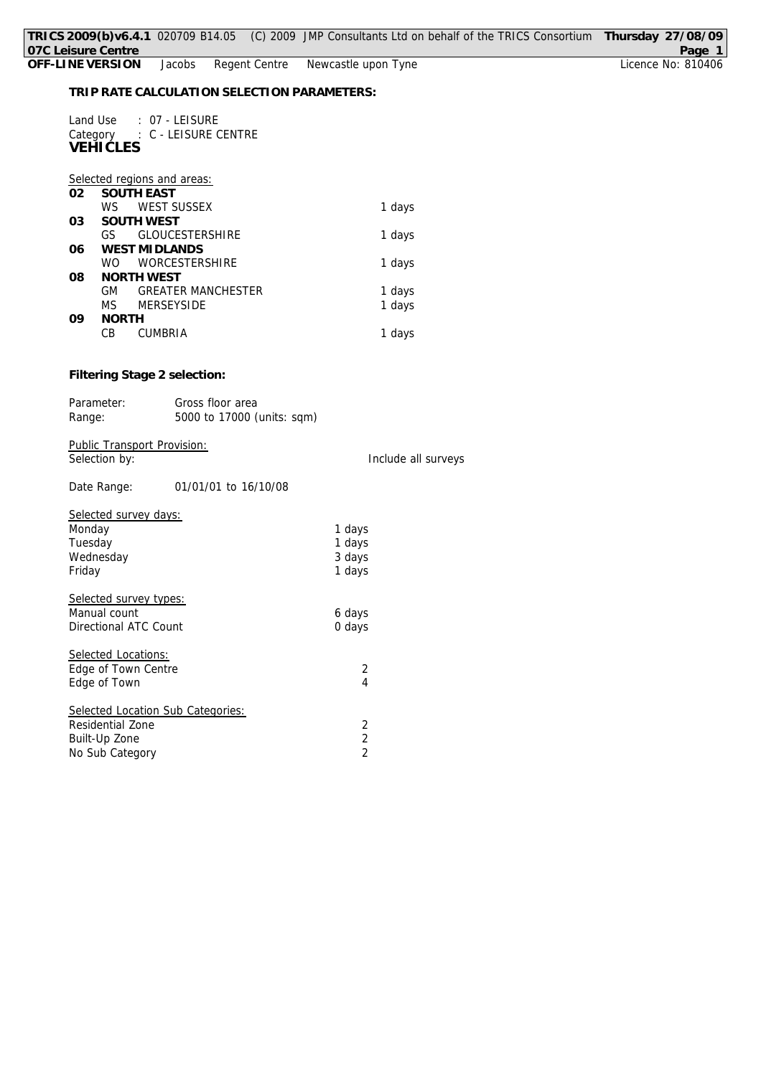Land Use : 07 - LEISURE Category : C - LEISURE CENTRE **VEHICLES**

# *Selected regions and areas:*

| 02 | <b>SOUTH EAST</b> |                           |        |  |  |  |
|----|-------------------|---------------------------|--------|--|--|--|
|    | W.S.              | <b>WEST SUSSEX</b>        | 1 days |  |  |  |
| 03 | <b>SOUTH WEST</b> |                           |        |  |  |  |
|    | GS                | <b>GLOUCESTERSHIRE</b>    | 1 days |  |  |  |
| 06 |                   | <b>WEST MIDLANDS</b>      |        |  |  |  |
|    | WO.               | <b>WORCESTERSHIRE</b>     | 1 days |  |  |  |
| 08 | NORTH WEST        |                           |        |  |  |  |
|    | GM.               | <b>GREATER MANCHESTER</b> | 1 days |  |  |  |
|    | MS.               | <b>MERSEYSIDE</b>         | 1 days |  |  |  |
| 09 | <b>NORTH</b>      |                           |        |  |  |  |
|    | СB                | <b>CUMBRIA</b>            | 1 days |  |  |  |
|    |                   |                           |        |  |  |  |

## **Filtering Stage 2 selection:**

| Parameter: | Gross floor area           |
|------------|----------------------------|
| Range:     | 5000 to 17000 (units: sqm) |

Public Transport Provision: Selection by: Selection by: Selection by: Include all surveys

# Date Range: 01/01/01 to 16/10/08

| Selected survey days:             |                |
|-----------------------------------|----------------|
| Monday                            | 1 days         |
| Tuesday                           | 1 days         |
| Wednesday                         | 3 days         |
| Friday                            | 1 days         |
| Selected survey types:            |                |
| Manual count                      | 6 days         |
| Directional ATC Count             | 0 days         |
| Selected Locations:               |                |
| Edge of Town Centre               | 2              |
| Edge of Town                      | 4              |
| Selected Location Sub Categories: |                |
| Residential Zone                  | 2              |
| Built-Up Zone                     | 2              |
| No Sub Category                   | $\overline{2}$ |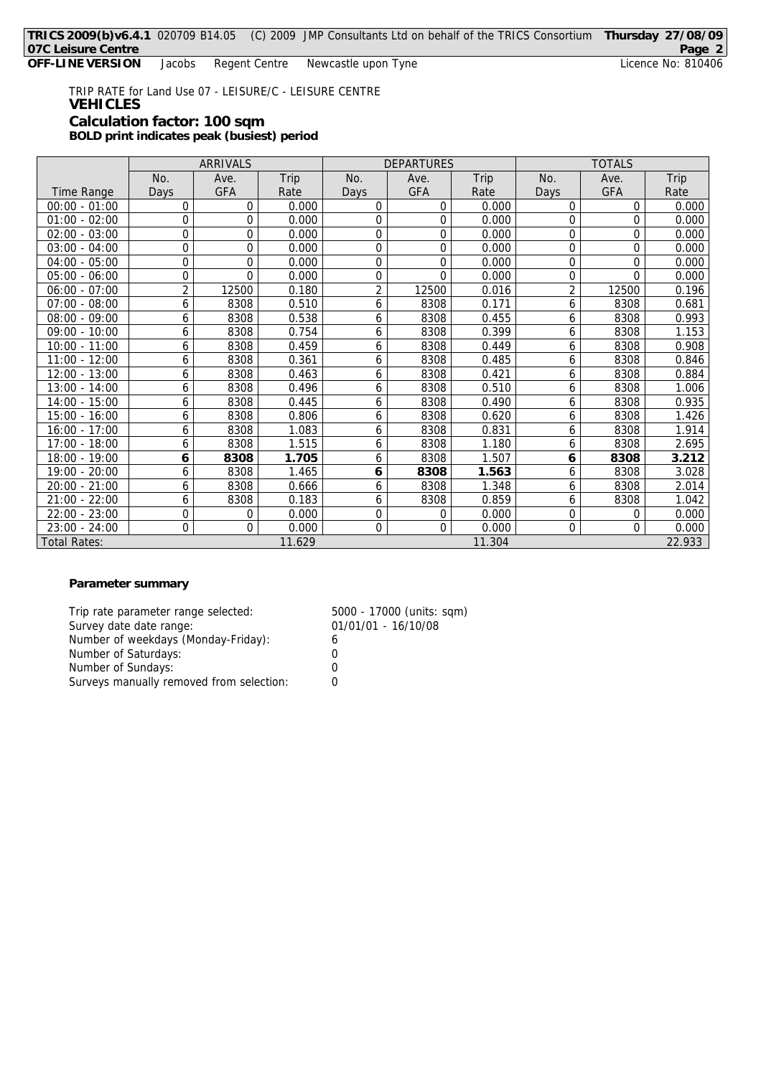**OFF-LINE VERSION** Jacobs Regent Centre Newcastle upon Tyne **Licence No: 810406** Licence No: 810406

TRIP RATE for Land Use 07 - LEISURE/C - LEISURE CENTRE **VEHICLES Calculation factor: 100 sqm BOLD print indicates peak (busiest) period**

ARRIVALS DEPARTURES TOTALS No. | Ave. | Trip | No. | Ave. | Trip | No. | Ave. | Trip Time Range | Days | GFA | Rate | Days | GFA | Rate | Days | GFA | Rate 00:00 - 01:00 0 0 0.000 0 0 0.000 0 0 0.000 01:00 - 02:00 0 0 0.000 0 0 0.000 0 0 0.000  $02:00 - 03:00$  0 0 0.000 0 0 0.000 0 0.000 0 0.000 0 0.000 03:00 - 04:00 0 0 0.000 0 0 0.000 0 0 0.000 04:00 - 05:00 0 0 0.000 0 0 0.000 0 0 0.000 05:00 - 06:00 0 0 0.000 0 0 0.000 0 0 0.000 06:00 - 07:00 | 2 | 12500 | 0.180 | 2 | 12500 | 0.016 | 2 | 12500 | 0.196  $07:00 - 08:00$  6 8308 0.510 6 8308 0.171 6 8308 0.681 08:00 - 09:00 6 8308 0.538 6 8308 0.455 6 8308 0.993 09:00 - 10:00 6 8308 0.754 6 8308 0.399 6 8308 1.153  $10:00 - 11:00$  6 8308 0.459 6 8308 0.449 6 8308 11:00 - 12:00 6 8308 0.361 6 8308 0.485 6 8308 0.846 12:00 - 13:00 6 8308 0.463 6 8308 0.421 6 8308 0.884 13:00 - 14:00 6 8308 0.496 6 8308 0.510 6 8308 1.006 14:00 - 15:00 6 8308 0.445 6 8308 0.490 6 8308 0.935 15:00 - 16:00 6 8308 0.806 6 8308 0.620 6 8308 1.426 16:00 - 17:00 6 8308 1.083 6 8308 0.831 6 8308 1.914 17:00 - 18:00 6 8308 1.515 6 8308 1.180 6 8308 2.695 18:00 - 19:00 **6 8308 1.705** 6 8308 1.507 **6 8308 3.212** 19:00 - 20:00 6 8308 1.465 **6 8308 1.563** 6 8308 3.028 20:00 - 21:00 6 8308 0.666 6 8308 1.348 6 8308 2.014 21:00 - 22:00 6 8308 0.183 6 8308 0.859 6 8308 1.042  $22:00 - 23:00$  0 0 0 0.000 0 0 0.000 0 0.000 0 0.000 23:00 - 24:00 0 0 0.000 0 0 0.000 0 0 0.000 Total Rates: 1 1.629 1 1.304 2 2.933

**Parameter summary**

Trip rate parameter range selected: 5000 - 17000 (units: sqm) Survey date date range: 01/01/01 - 16/10/08 Number of weekdays (Monday-Friday): 6 Number of Saturdays: 0 Number of Sundays: 0 Surveys manually removed from selection: 0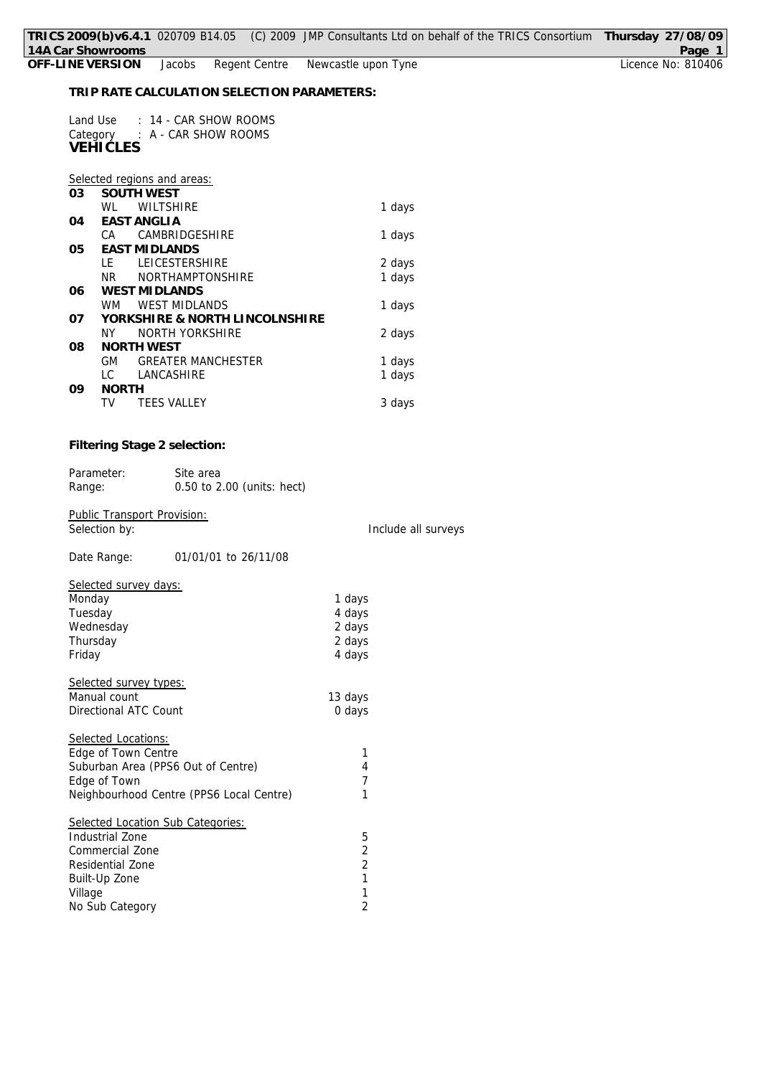Include all surveys

**TRIP RATE CALCULATION SELECTION PARAMETERS:**

| Land Use        | $: 14$ - CAR SHOW ROOMS       |
|-----------------|-------------------------------|
| <b>VEHICLES</b> | Category : A - CAR SHOW ROOMS |
|                 |                               |

|    |                                | Selected regions and areas: |        |  |  |
|----|--------------------------------|-----------------------------|--------|--|--|
| 03 |                                | <b>SOUTH WEST</b>           |        |  |  |
|    | WI                             | <b>WILTSHIRE</b>            | 1 days |  |  |
| 04 | EAST ANGLIA                    |                             |        |  |  |
|    | CA.                            | CAMBRIDGESHIRE              | 1 days |  |  |
| 05 | <b>FAST MIDI ANDS</b>          |                             |        |  |  |
|    | I F                            | <b>LEICESTERSHIRE</b>       | 2 days |  |  |
|    | NR.                            | <b>NORTHAMPTONSHIRE</b>     | 1 days |  |  |
| 06 | <b>WEST MIDLANDS</b>           |                             |        |  |  |
|    | WМ                             | <b>WEST MIDLANDS</b>        | 1 days |  |  |
| 07 | YORKSHIRE & NORTH LINCOLNSHIRE |                             |        |  |  |
|    | ΝY                             | NORTH YORKSHIRE             | 2 days |  |  |
| 08 | <b>NORTH WEST</b>              |                             |        |  |  |
|    | GM                             | <b>GREATER MANCHESTER</b>   | 1 days |  |  |
|    | I C                            | LANCASHIRE                  | 1 days |  |  |
| 09 | NORTH                          |                             |        |  |  |
|    | TV                             | <b>TEES VALLEY</b>          | 3 days |  |  |

**Filtering Stage 2 selection:**

| Parameter: | Site area                  |
|------------|----------------------------|
| Range:     | 0.50 to 2.00 (units: hect) |

Public Transport Provision:<br>Selection by:

Date Range: 01/01/01 to 26/11/08

| <b>Selected survey days:</b>             |         |
|------------------------------------------|---------|
| Monday                                   | 1 days  |
| Tuesday                                  | 4 days  |
| Wednesday                                | 2 days  |
| Thursday                                 | 2 days  |
| Friday                                   | 4 days  |
| Selected survey types:                   |         |
| Manual count                             | 13 days |
| Directional ATC Count                    | 0 days  |
| Selected Locations:                      |         |
| Edge of Town Centre                      | 1       |
| Suburban Area (PPS6 Out of Centre)       | 4       |
| Edge of Town                             | 7       |
| Neighbourhood Centre (PPS6 Local Centre) | 1       |
| Selected Location Sub Categories:        |         |
| Industrial Zone                          | 5       |
| Commercial Zone                          | 2       |
| Residential Zone                         | 2       |
| Built-Up Zone                            | 1       |
| Village                                  | 1       |
| No Sub Category                          | 2       |